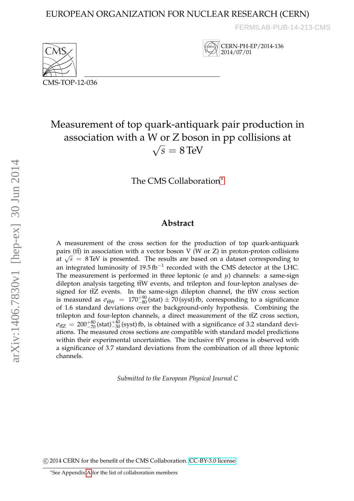## EUROPEAN ORGANIZATION FOR NUCLEAR RESEARCH (CERN)

FERMILAB-PUB-14-213-CMS





# Measurement of top quark-antiquark pair production in association with a W or Z boson in pp collisions at √  $\sqrt{s} = 8$  TeV

The CMS Collaboration∗

## **Abstract**

A measurement of the cross section for the production of top quark-antiquark pairs ( $t\bar{t}$ ) in association with a vector boson V (W or Z) in proton-proton collisions pairs (ii) in association with a vector boson v (iv or  $Z$ ) in proton-proton consions at  $\sqrt{s}$  = 8 TeV is presented. The results are based on a dataset corresponding to an integrated luminosity of 19.5 fb $^{-1}$  recorded with the CMS detector at the LHC. The measurement is performed in three leptonic (e and  $\mu$ ) channels: a same-sign dilepton analysis targeting ttW events, and trilepton and four-lepton analyses designed for ttZ events. In the same-sign dilepton channel, the ttW cross section is measured as  $\sigma_{\text{t\bar{t}W}} = 170^{+90}_{-80}$  (stat)  $\pm 70$  (syst) fb, corresponding to a significance of 1.6 standard deviations over the background-only hypothesis. Combining the trilepton and four-lepton channels, a direct measurement of the ttZ cross section,  $\sigma_{\rm t\bar{t}Z}=200^{+80}_{-70}$  (stat) $^{+40}_{-30}$  (syst) fb, is obtained with a significance of 3.2 standard deviations. The measured cross sections are compatible with standard model predictions within their experimental uncertainties. The inclusive  $\mathrm{t\bar{t}V}$  process is observed with a significance of 3.7 standard deviations from the combination of all three leptonic channels.

*Submitted to the European Physical Journal C*

c 2014 CERN for the benefit of the CMS Collaboration. [CC-BY-3.0 license](http://creativecommons.org/licenses/by/3.0)

<sup>∗</sup>See Appendix A for the list of collaboration members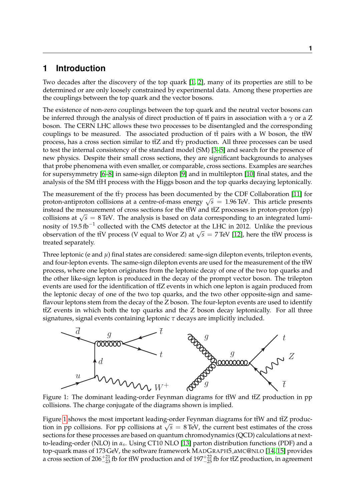## **1 Introduction**

Two decades after the discovery of the top quark [1, 2], many of its properties are still to be determined or are only loosely constrained by experimental data. Among these properties are the couplings between the top quark and the vector bosons.

The existence of non-zero couplings between the top quark and the neutral vector bosons can be inferred through the analysis of direct production of tt pairs in association with a *γ* or a Z boson. The CERN LHC allows these two processes to be disentangled and the corresponding couplings to be measured. The associated production of  $t\bar{t}$  pairs with a W boson, the  $t\bar{t}W$ process, has a cross section similar to ttZ and tt*γ* production. All three processes can be used to test the internal consistency of the standard model (SM) [3–5] and search for the presence of new physics. Despite their small cross sections, they are significant backgrounds to analyses that probe phenomena with even smaller, or comparable, cross sections. Examples are searches for supersymmetry [6–8] in same-sign dilepton [9] and in multilepton [10] final states, and the analysis of the SM ttH process with the Higgs boson and the top quarks decaying leptonically.

The measurement of the tt<sub> $\gamma$ </sub> process has been documented by the CDF Collaboration [11] for The measurement of the try process has been documented by the CDF Conaboration [11] for<br>proton-antiproton collisions at a centre-of-mass energy  $\sqrt{s} = 1.96$  TeV. This article presents instead the measurement of cross sections for the  $t\bar{t}W$  and  $t\bar{t}Z$  processes in proton-proton (pp)  $\alpha$  collisions at  $\sqrt{s} = 8$  TeV. The analysis is based on data corresponding to an integrated luminosity of 19.5 fb $^{-1}$  collected with the CMS detector at the LHC in 2012. Unlike the previous  $\alpha$  observation of the tt̄V process (V equal to Wor Z) at  $\sqrt{s} = 7$  TeV [12], here the tt̄W process is treated separately.

Three leptonic (e and  $\mu$ ) final states are considered: same-sign dilepton events, trilepton events, and four-lepton events. The same-sign dilepton events are used for the measurement of the ttW process, where one lepton originates from the leptonic decay of one of the two top quarks and the other like-sign lepton is produced in the decay of the prompt vector boson. The trilepton events are used for the identification of tt<sup>7</sup> events in which one lepton is again produced from the leptonic decay of one of the two top quarks, and the two other opposite-sign and sameflavour leptons stem from the decay of the Z boson. The four-lepton events are used to identify ttZ events in which both the top quarks and the Z boson decay leptonically. For all three signatures, signal events containing leptonic *τ* decays are implicitly included.



Figure 1: The dominant leading-order Feynman diagrams for tt W and tt Z production in pp collisions. The charge conjugate of the diagrams shown is implied.

Figure 1 shows the most important leading-order Feynman diagrams for ttW and ttZ produc-Figure 1 shows the most important leading-order Feynman diagrams for tive and tiz production in pp collisions. For pp collisions at  $\sqrt{s} = 8$  TeV, the current best estimates of the cross sections for these processes are based on quantum chromodynamics (QCD) calculations at nextto-leading-order (NLO) in *α<sup>s</sup>* . Using CT10 NLO [13] parton distribution functions (PDF) and a top-quark mass of 173 GeV, the software framework MADGRAPH5 aMC@NLO [14, 15] provides a cross section of 206<sup> $+21$ </sup> fb for tt<sup>W</sup> production and of 197 $^{+22}$  fb for tt<sup>Z</sup> production, in agreement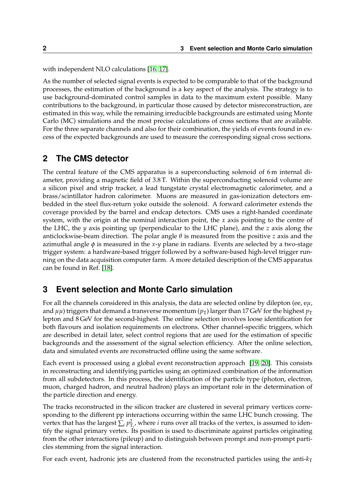with independent NLO calculations [16, 17].

As the number of selected signal events is expected to be comparable to that of the background processes, the estimation of the background is a key aspect of the analysis. The strategy is to use background-dominated control samples in data to the maximum extent possible. Many contributions to the background, in particular those caused by detector misreconstruction, are estimated in this way, while the remaining irreducible backgrounds are estimated using Monte Carlo (MC) simulations and the most precise calculations of cross sections that are available. For the three separate channels and also for their combination, the yields of events found in excess of the expected backgrounds are used to measure the corresponding signal cross sections.

# **2 The CMS detector**

The central feature of the CMS apparatus is a superconducting solenoid of 6 m internal diameter, providing a magnetic field of 3.8 T. Within the superconducting solenoid volume are a silicon pixel and strip tracker, a lead tungstate crystal electromagnetic calorimeter, and a brass/scintillator hadron calorimeter. Muons are measured in gas-ionization detectors embedded in the steel flux-return yoke outside the solenoid. A forward calorimeter extends the coverage provided by the barrel and endcap detectors. CMS uses a right-handed coordinate system, with the origin at the nominal interaction point, the *x* axis pointing to the centre of the LHC, the *y* axis pointing up (perpendicular to the LHC plane), and the *z* axis along the anticlockwise-beam direction. The polar angle *θ* is measured from the positive *z* axis and the azimuthal angle  $\phi$  is measured in the *x*-*y* plane in radians. Events are selected by a two-stage trigger system: a hardware-based trigger followed by a software-based high-level trigger running on the data acquisition computer farm. A more detailed description of the CMS apparatus can be found in Ref. [18].

# **3 Event selection and Monte Carlo simulation**

For all the channels considered in this analysis, the data are selected online by dilepton (ee, e*µ*, and  $\mu\mu$ ) triggers that demand a transverse momentum ( $p_T$ ) larger than 17 GeV for the highest  $p_T$ lepton and 8 GeV for the second-highest. The online selection involves loose identification for both flavours and isolation requirements on electrons. Other channel-specific triggers, which are described in detail later, select control regions that are used for the estimation of specific backgrounds and the assessment of the signal selection efficiency. After the online selection, data and simulated events are reconstructed offline using the same software.

Each event is processed using a global event reconstruction approach [19, 20]. This consists in reconstructing and identifying particles using an optimized combination of the information from all subdetectors. In this process, the identification of the particle type (photon, electron, muon, charged hadron, and neutral hadron) plays an important role in the determination of the particle direction and energy.

The tracks reconstructed in the silicon tracker are clustered in several primary vertices corresponding to the different pp interactions occurring within the same LHC bunch crossing. The vertex that has the largest  $\sum_i p_{\text{T}_i}^2$ , where *i* runs over all tracks of the vertex, is assumed to identify the signal primary vertex. Its position is used to discriminate against particles originating from the other interactions (pileup) and to distinguish between prompt and non-prompt particles stemming from the signal interaction.

For each event, hadronic jets are clustered from the reconstructed particles using the anti- $k<sub>T</sub>$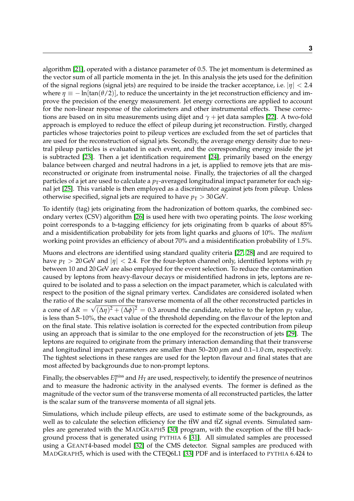algorithm [21], operated with a distance parameter of 0.5. The jet momentum is determined as the vector sum of all particle momenta in the jet. In this analysis the jets used for the definition of the signal regions (signal jets) are required to be inside the tracker acceptance, i.e.  $|\eta| < 2.4$ where  $\eta \equiv -\ln[\tan(\theta/2)]$ , to reduce the uncertainty in the jet reconstruction efficiency and improve the precision of the energy measurement. Jet energy corrections are applied to account for the non-linear response of the calorimeters and other instrumental effects. These corrections are based on in situ measurements using dijet and  $\gamma$  + jet data samples [22]. A two-fold approach is employed to reduce the effect of pileup during jet reconstruction. Firstly, charged particles whose trajectories point to pileup vertices are excluded from the set of particles that are used for the reconstruction of signal jets. Secondly, the average energy density due to neutral pileup particles is evaluated in each event, and the corresponding energy inside the jet is subtracted [23]. Then a jet identification requirement [24], primarily based on the energy balance between charged and neutral hadrons in a jet, is applied to remove jets that are misreconstructed or originate from instrumental noise. Finally, the trajectories of all the charged particles of a jet are used to calculate a  $p_T$ -averaged longitudinal impact parameter for each signal jet [25]. This variable is then employed as a discriminator against jets from pileup. Unless otherwise specified, signal jets are required to have  $p_T > 30$  GeV.

To identify (tag) jets originating from the hadronization of bottom quarks, the combined secondary vertex (CSV) algorithm [26] is used here with two operating points. The *loose* working point corresponds to a b-tagging efficiency for jets originating from b quarks of about 85% and a misidentification probability for jets from light quarks and gluons of 10%. The *medium* working point provides an efficiency of about 70% and a misidentification probability of 1.5%.

Muons and electrons are identified using standard quality criteria [27, 28] and are required to have  $p_T > 20$  GeV and  $|\eta| < 2.4$ . For the four-lepton channel only, identified leptons with  $p_T$ between 10 and 20 GeV are also employed for the event selection. To reduce the contamination caused by leptons from heavy-flavour decays or misidentified hadrons in jets, leptons are required to be isolated and to pass a selection on the impact parameter, which is calculated with respect to the position of the signal primary vertex. Candidates are considered isolated when the ratio of the scalar sum of the transverse momenta of all the other reconstructed particles in a cone of  $\Delta R = \sqrt{(\Delta \eta)^2 + (\Delta \phi)^2} = 0.3$  around the candidate, relative to the lepton  $p_{\rm T}$  value, is less than 5–10%, the exact value of the threshold depending on the flavour of the lepton and on the final state. This relative isolation is corrected for the expected contribution from pileup using an approach that is similar to the one employed for the reconstruction of jets [29]. The leptons are required to originate from the primary interaction demanding that their transverse and longitudinal impact parameters are smaller than 50–200 *µ*m and 0.1–1.0 cm, respectively. The tightest selections in these ranges are used for the lepton flavour and final states that are most affected by backgrounds due to non-prompt leptons.

Finally, the observables  $E_{\rm T}^{\rm miss}$  and  $H_{\rm T}$  are used, respectively, to identify the presence of neutrinos and to measure the hadronic activity in the analysed events. The former is defined as the magnitude of the vector sum of the transverse momenta of all reconstructed particles, the latter is the scalar sum of the transverse momenta of all signal jets.

Simulations, which include pileup effects, are used to estimate some of the backgrounds, as well as to calculate the selection efficiency for the  $t\bar{t}W$  and  $t\bar{t}Z$  signal events. Simulated samples are generated with the MADGRAPH5 [30] program, with the exception of the ttH background process that is generated using PYTHIA 6 [31]. All simulated samples are processed using a GEANT4-based model [32] of the CMS detector. Signal samples are produced with MADGRAPH5, which is used with the CTEQ6L1 [33] PDF and is interfaced to PYTHIA 6.424 to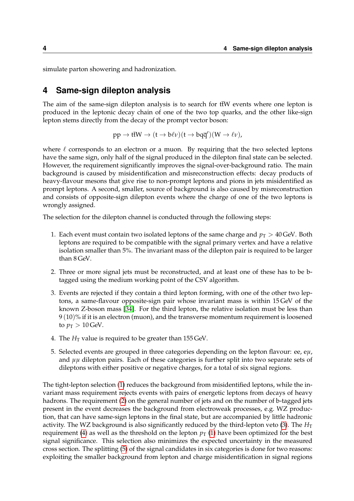simulate parton showering and hadronization.

## **4 Same-sign dilepton analysis**

The aim of the same-sign dilepton analysis is to search for ttW events where one lepton is produced in the leptonic decay chain of one of the two top quarks, and the other like-sign lepton stems directly from the decay of the prompt vector boson:

 $pp \to t\bar{t}W \to (t \to b\ell\nu)(t \to bq\bar{q}')(W \to \ell\nu),$ 

where  $\ell$  corresponds to an electron or a muon. By requiring that the two selected leptons have the same sign, only half of the signal produced in the dilepton final state can be selected. However, the requirement significantly improves the signal-over-background ratio. The main background is caused by misidentification and misreconstruction effects: decay products of heavy-flavour mesons that give rise to non-prompt leptons and pions in jets misidentified as prompt leptons. A second, smaller, source of background is also caused by misreconstruction and consists of opposite-sign dilepton events where the charge of one of the two leptons is wrongly assigned.

The selection for the dilepton channel is conducted through the following steps:

- 1. Each event must contain two isolated leptons of the same charge and  $p_T > 40$  GeV. Both leptons are required to be compatible with the signal primary vertex and have a relative isolation smaller than 5%. The invariant mass of the dilepton pair is required to be larger than 8 GeV.
- 2. Three or more signal jets must be reconstructed, and at least one of these has to be btagged using the medium working point of the CSV algorithm.
- 3. Events are rejected if they contain a third lepton forming, with one of the other two leptons, a same-flavour opposite-sign pair whose invariant mass is within 15 GeV of the known Z-boson mass [34]. For the third lepton, the relative isolation must be less than 9 (10)% if it is an electron (muon), and the transverse momentum requirement is loosened to  $p_T > 10$  GeV.
- 4. The  $H_T$  value is required to be greater than  $155 \text{ GeV}$ .
- 5. Selected events are grouped in three categories depending on the lepton flavour: ee, e*µ*, and *µµ* dilepton pairs. Each of these categories is further split into two separate sets of dileptons with either positive or negative charges, for a total of six signal regions.

The tight-lepton selection (1) reduces the background from misidentified leptons, while the invariant mass requirement rejects events with pairs of energetic leptons from decays of heavy hadrons. The requirement (2) on the general number of jets and on the number of b-tagged jets present in the event decreases the background from electroweak processes, e.g. WZ production, that can have same-sign leptons in the final state, but are accompanied by little hadronic activity. The WZ background is also significantly reduced by the third-lepton veto (3). The  $H<sub>T</sub>$ requirement (4) as well as the threshold on the lepton  $p<sub>T</sub>$  (1) have been optimized for the best signal significance. This selection also minimizes the expected uncertainty in the measured cross section. The splitting (5) of the signal candidates in six categories is done for two reasons: exploiting the smaller background from lepton and charge misidentification in signal regions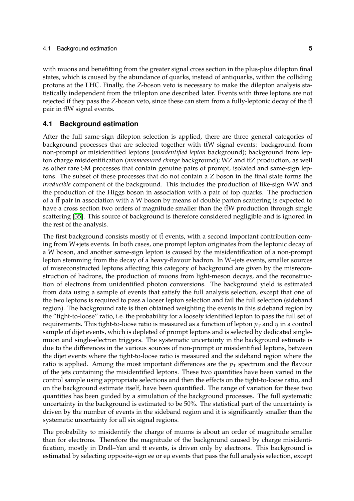with muons and benefitting from the greater signal cross section in the plus-plus dilepton final states, which is caused by the abundance of quarks, instead of antiquarks, within the colliding protons at the LHC. Finally, the Z-boson veto is necessary to make the dilepton analysis statistically independent from the trilepton one described later. Events with three leptons are not rejected if they pass the Z-boson veto, since these can stem from a fully-leptonic decay of the  $t\bar{t}$ pair in ttw signal events.

## **4.1 Background estimation**

After the full same-sign dilepton selection is applied, there are three general categories of background processes that are selected together with ttW signal events: background from non-prompt or misidentified leptons (*misidentified lepton* background); background from lepton charge misidentification (*mismeasured charge* background); WZ and ttZ production, as well as other rare SM processes that contain genuine pairs of prompt, isolated and same-sign leptons. The subset of these processes that do not contain a Z boson in the final state forms the *irreducible* component of the background. This includes the production of like-sign WW and the production of the Higgs boson in association with a pair of top quarks. The production of a  $t\bar{t}$  pair in association with a W boson by means of double parton scattering is expected to have a cross section two orders of magnitude smaller than the tt<sup>W</sup> production through single scattering [35]. This source of background is therefore considered negligible and is ignored in the rest of the analysis.

The first background consists mostly of  $t\bar{t}$  events, with a second important contribution coming from W+jets events. In both cases, one prompt lepton originates from the leptonic decay of a W boson, and another same-sign lepton is caused by the misidentification of a non-prompt lepton stemming from the decay of a heavy-flavour hadron. In W+jets events, smaller sources of misreconstructed leptons affecting this category of background are given by the misreconstruction of hadrons, the production of muons from light-meson decays, and the reconstruction of electrons from unidentified photon conversions. The background yield is estimated from data using a sample of events that satisfy the full analysis selection, except that one of the two leptons is required to pass a looser lepton selection and fail the full selection (sideband region). The background rate is then obtained weighting the events in this sideband region by the "tight-to-loose" ratio, i.e. the probability for a loosely identified lepton to pass the full set of requirements. This tight-to-loose ratio is measured as a function of lepton  $p_T$  and  $\eta$  in a control sample of dijet events, which is depleted of prompt leptons and is selected by dedicated singlemuon and single-electron triggers. The systematic uncertainty in the background estimate is due to the differences in the various sources of non-prompt or misidentified leptons, between the dijet events where the tight-to-loose ratio is measured and the sideband region where the ratio is applied. Among the most important differences are the  $p<sub>T</sub>$  spectrum and the flavour of the jets containing the misidentified leptons. These two quantities have been varied in the control sample using appropriate selections and then the effects on the tight-to-loose ratio, and on the background estimate itself, have been quantified. The range of variation for these two quantities has been guided by a simulation of the background processes. The full systematic uncertainty in the background is estimated to be 50%. The statistical part of the uncertainty is driven by the number of events in the sideband region and it is significantly smaller than the systematic uncertainty for all six signal regions.

The probability to misidentify the charge of muons is about an order of magnitude smaller than for electrons. Therefore the magnitude of the background caused by charge misidentification, mostly in Drell–Yan and tt events, is driven only by electrons. This background is estimated by selecting opposite-sign ee or e*µ* events that pass the full analysis selection, except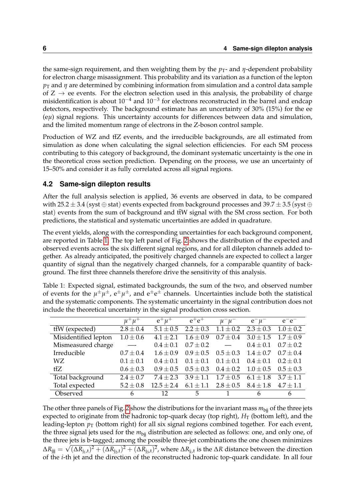the same-sign requirement, and then weighting them by the  $p_T$ - and  $\eta$ -dependent probability for electron charge misassignment. This probability and its variation as a function of the lepton  $p_T$  and  $\eta$  are determined by combining information from simulation and a control data sample of  $Z \rightarrow$  ee events. For the electron selection used in this analysis, the probability of charge misidentification is about  $10^{-4}$  and  $10^{-3}$  for electrons reconstructed in the barrel and endcap detectors, respectively. The background estimate has an uncertainty of 30% (15%) for the ee (e*µ*) signal regions. This uncertainty accounts for differences between data and simulation, and the limited momentum range of electrons in the Z-boson control sample.

Production of WZ and tt<sup>Z</sup> events, and the irreducible backgrounds, are all estimated from simulation as done when calculating the signal selection efficiencies. For each SM process contributing to this category of background, the dominant systematic uncertainty is the one in the theoretical cross section prediction. Depending on the process, we use an uncertainty of 15–50% and consider it as fully correlated across all signal regions.

## **4.2 Same-sign dilepton results**

After the full analysis selection is applied, 36 events are observed in data, to be compared with 25.2  $\pm$  3.4 (syst  $\oplus$  stat) events expected from background processes and 39.7  $\pm$  3.5 (syst  $\oplus$ stat) events from the sum of background and tt<sup>W</sup> signal with the SM cross section. For both predictions, the statistical and systematic uncertainties are added in quadrature.

The event yields, along with the corresponding uncertainties for each background component, are reported in Table 1. The top left panel of Fig. 2 shows the distribution of the expected and observed events across the six different signal regions, and for all dilepton channels added together. As already anticipated, the positively charged channels are expected to collect a larger quantity of signal than the negatively charged channels, for a comparable quantity of background. The first three channels therefore drive the sensitivity of this analysis.

|                        | $\mu^+\mu^+$             | $e^+u^+$       | $e^+e^+$      | $\mu$ $\mu$   | $e^-$ u <sup>-</sup> | $e^-e^-$      |
|------------------------|--------------------------|----------------|---------------|---------------|----------------------|---------------|
| $t\bar{t}W$ (expected) | $2.8 \pm 0.4$            | $5.1 \pm 0.5$  | $2.2 \pm 0.3$ | $1.1 \pm 0.2$ | $2.3 \pm 0.3$        | $1.0 \pm 0.2$ |
| Misidentified lepton   | $1.0 \pm 0.6$            | $4.1 \pm 2.1$  | $1.6 \pm 0.9$ | $0.7 \pm 0.4$ | $3.0 \pm 1.5$        | $1.7 \pm 0.9$ |
| Mismeasured charge     | $\overline{\phantom{a}}$ | $0.4 \pm 0.1$  | $0.7 \pm 0.2$ |               | $0.4 \pm 0.1$        | $0.7 \pm 0.2$ |
| Irreducible            | $0.7 \pm 0.4$            | $1.6 \pm 0.9$  | $0.9 \pm 0.5$ | $0.5 \pm 0.3$ | $1.4 \pm 0.7$        | $0.7 \pm 0.4$ |
| WZ.                    | $0.1 \pm 0.1$            | $0.4 \pm 0.1$  | $0.1 \pm 0.1$ | $0.1 \pm 0.1$ | $0.4 \pm 0.1$        | $0.2 \pm 0.1$ |
| $t\overline{t}Z$       | $0.6 \pm 0.3$            | $0.9 \pm 0.5$  | $0.5 \pm 0.3$ | $0.4 \pm 0.2$ | $1.0 \pm 0.5$        | $0.5 \pm 0.3$ |
| Total background       | $2.4 \pm 0.7$            | $7.4 \pm 2.3$  | $3.9 \pm 1.1$ | $1.7 \pm 0.5$ | $6.1 \pm 1.8$        | $3.7 \pm 1.1$ |
| Total expected         | $5.2 \pm 0.8$            | $12.5 \pm 2.4$ | $6.1 \pm 1.1$ | $2.8 \pm 0.5$ | $8.4 \pm 1.8$        | $4.7 \pm 1.1$ |
| Observed               | 6                        | 12             | 5             |               | 6                    | 6             |

Table 1: Expected signal, estimated backgrounds, the sum of the two, and observed number of events for the  $\mu^{\pm} \mu^{\pm}$ ,  $e^{\pm} \mu^{\pm}$ , and  $e^{\pm} e^{\pm}$  channels. Uncertainties include both the statistical and the systematic components. The systematic uncertainty in the signal contribution does not include the theoretical uncertainty in the signal production cross section.

The other three panels of Fig. 2 show the distributions for the invariant mass  $m_{\text{bii}}$  of the three jets expected to originate from the hadronic top-quark decay (top right),  $H_T$  (bottom left), and the leading-lepton  $p_T$  (bottom right) for all six signal regions combined together. For each event, the three signal jets used for the  $m_{\text{bii}}$  distribution are selected as follows: one, and only one, of the three jets is b-tagged; among the possible three-jet combinations the one chosen minimizes  $\Delta R_{\rm{jjj}}=\sqrt{(\Delta R_{\rm{j}_1,t})^2+(\Delta R_{\rm{j}_2,t})^2+(\Delta R_{\rm{j}_3,t})^2}$ , where  $\Delta R_{\rm{j}_i,t}$  is the  $\Delta R$  distance between the direction of the *i*-th jet and the direction of the reconstructed hadronic top-quark candidate. In all four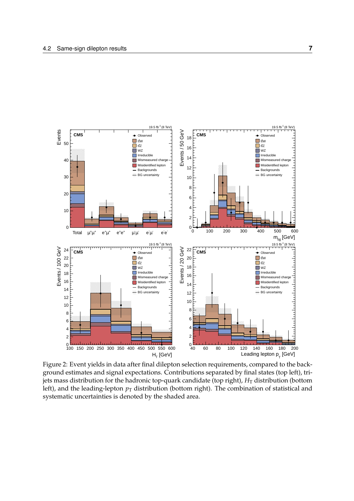

Figure 2: Event yields in data after final dilepton selection requirements, compared to the background estimates and signal expectations. Contributions separated by final states (top left), trijets mass distribution for the hadronic top-quark candidate (top right),  $H_T$  distribution (bottom left), and the leading-lepton  $p<sub>T</sub>$  distribution (bottom right). The combination of statistical and systematic uncertainties is denoted by the shaded area.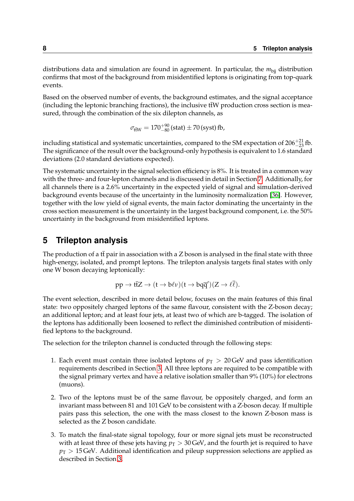distributions data and simulation are found in agreement. In particular, the  $m_{\text{bii}}$  distribution confirms that most of the background from misidentified leptons is originating from top-quark events.

Based on the observed number of events, the background estimates, and the signal acceptance (including the leptonic branching fractions), the inclusive  $t\bar{t}W$  production cross section is measured, through the combination of the six dilepton channels, as

 $\sigma_{\rm t\bar{t}W}=170^{+90}_{-80}\,(\rm stat)\pm70\,(\rm syst)$  fb,

including statistical and systematic uncertainties, compared to the SM expectation of  $206^{+21}_{-23}$  fb. The significance of the result over the background-only hypothesis is equivalent to 1.6 standard deviations (2.0 standard deviations expected).

The systematic uncertainty in the signal selection efficiency is 8%. It is treated in a common way with the three- and four-lepton channels and is discussed in detail in Section 7. Additionally, for all channels there is a 2.6% uncertainty in the expected yield of signal and simulation-derived background events because of the uncertainty in the luminosity normalization [36]. However, together with the low yield of signal events, the main factor dominating the uncertainty in the cross section measurement is the uncertainty in the largest background component, i.e. the 50% uncertainty in the background from misidentified leptons.

# **5 Trilepton analysis**

The production of a  $t\bar{t}$  pair in association with a Z boson is analysed in the final state with three high-energy, isolated, and prompt leptons. The trilepton analysis targets final states with only one W boson decaying leptonically:

$$
pp\to t\overline{t}Z\to (t\to b\ell\nu)(t\to b q\overline{q}')(Z\to \ell\overline{\ell}).
$$

The event selection, described in more detail below, focuses on the main features of this final state: two oppositely charged leptons of the same flavour, consistent with the Z-boson decay; an additional lepton; and at least four jets, at least two of which are b-tagged. The isolation of the leptons has additionally been loosened to reflect the diminished contribution of misidentified leptons to the background.

The selection for the trilepton channel is conducted through the following steps:

- 1. Each event must contain three isolated leptons of  $p_T > 20$  GeV and pass identification requirements described in Section 3. All three leptons are required to be compatible with the signal primary vertex and have a relative isolation smaller than 9% (10%) for electrons (muons).
- 2. Two of the leptons must be of the same flavour, be oppositely charged, and form an invariant mass between 81 and 101 GeV to be consistent with a Z-boson decay. If multiple pairs pass this selection, the one with the mass closest to the known Z-boson mass is selected as the Z boson candidate.
- 3. To match the final-state signal topology, four or more signal jets must be reconstructed with at least three of these jets having  $p<sub>T</sub> > 30$  GeV, and the fourth jet is required to have  $p_{\text{T}} > 15$  GeV. Additional identification and pileup suppression selections are applied as described in Section 3.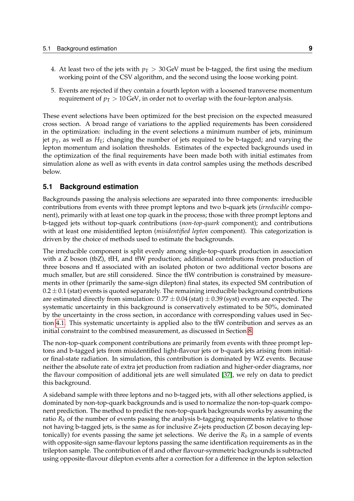- 4. At least two of the jets with  $p_T > 30$  GeV must be b-tagged, the first using the medium working point of the CSV algorithm, and the second using the loose working point.
- 5. Events are rejected if they contain a fourth lepton with a loosened transverse momentum requirement of  $p_T > 10$  GeV, in order not to overlap with the four-lepton analysis.

These event selections have been optimized for the best precision on the expected measured cross section. A broad range of variations to the applied requirements has been considered in the optimization: including in the event selections a minimum number of jets, minimum jet  $p_T$ , as well as  $H_T$ ; changing the number of jets required to be b-tagged; and varying the lepton momentum and isolation thresholds. Estimates of the expected backgrounds used in the optimization of the final requirements have been made both with initial estimates from simulation alone as well as with events in data control samples using the methods described below.

## **5.1 Background estimation**

Backgrounds passing the analysis selections are separated into three components: irreducible contributions from events with three prompt leptons and two b-quark jets (*irreducible* component), primarily with at least one top quark in the process; those with three prompt leptons and b-tagged jets without top-quark contributions (*non-top-quark* component); and contributions with at least one misidentified lepton (*misidentified lepton* component). This categorization is driven by the choice of methods used to estimate the backgrounds.

The irreducible component is split evenly among single-top-quark production in association with a Z boson (tbZ),  $t\bar{t}H$ , and  $t\bar{t}W$  production; additional contributions from production of three bosons and  $t\bar{t}$  associated with an isolated photon or two additional vector bosons are much smaller, but are still considered. Since the tte to contribution is constrained by measurements in other (primarily the same-sign dilepton) final states, its expected SM contribution of  $0.2 \pm 0.1$  (stat) events is quoted separately. The remaining irreducible background contributions are estimated directly from simulation:  $0.77 \pm 0.04$  (stat)  $\pm 0.39$  (syst) events are expected. The systematic uncertainty in this background is conservatively estimated to be 50%, dominated by the uncertainty in the cross section, in accordance with corresponding values used in Section 4.1. This systematic uncertainty is applied also to the ttW contribution and serves as an initial constraint to the combined measurement, as discussed in Section 8.

The non-top-quark component contributions are primarily from events with three prompt leptons and b-tagged jets from misidentified light-flavour jets or b-quark jets arising from initialor final-state radiation. In simulation, this contribution is dominated by WZ events. Because neither the absolute rate of extra jet production from radiation and higher-order diagrams, nor the flavour composition of additional jets are well simulated [37], we rely on data to predict this background.

A sideband sample with three leptons and no b-tagged jets, with all other selections applied, is dominated by non-top-quark backgrounds and is used to normalize the non-top-quark component prediction. The method to predict the non-top-quark backgrounds works by assuming the ratio  $R_b$  of the number of events passing the analysis b-tagging requirements relative to those not having b-tagged jets, is the same as for inclusive  $Z + j$  jets production (Z boson decaying leptonically) for events passing the same jet selections. We derive the *R<sup>b</sup>* in a sample of events with opposite-sign same-flavour leptons passing the same identification requirements as in the trilepton sample. The contribution of  $t\bar{t}$  and other flavour-symmetric backgrounds is subtracted using opposite-flavour dilepton events after a correction for a difference in the lepton selection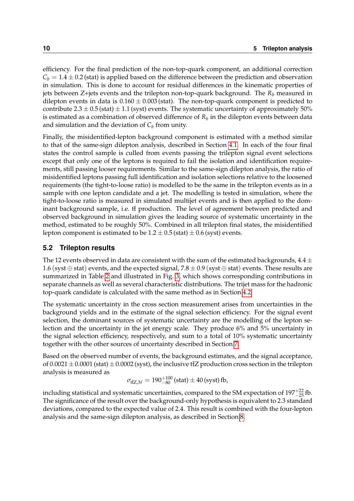efficiency. For the final prediction of the non-top-quark component, an additional correction  $C_b = 1.4 \pm 0.2$  (stat) is applied based on the difference between the prediction and observation in simulation. This is done to account for residual differences in the kinematic properties of jets between Z+jets events and the trilepton non-top-quark background. The *R<sup>b</sup>* measured in dilepton events in data is  $0.160 \pm 0.003$  (stat). The non-top-quark component is predicted to contribute 2.3  $\pm$  0.5 (stat)  $\pm$  1.1 (syst) events. The systematic uncertainty of approximately 50% is estimated as a combination of observed difference of  $R_b$  in the dilepton events between data and simulation and the deviation of *C<sup>b</sup>* from unity.

Finally, the misidentified-lepton background component is estimated with a method similar to that of the same-sign dilepton analysis, described in Section 4.1. In each of the four final states the control sample is culled from events passing the trilepton signal event selections except that only one of the leptons is required to fail the isolation and identification requirements, still passing looser requirements. Similar to the same-sign dilepton analysis, the ratio of misidentified leptons passing full identification and isolation selections relative to the loosened requirements (the tight-to-loose ratio) is modelled to be the same in the trilepton events as in a sample with one lepton candidate and a jet. The modelling is tested in simulation, where the tight-to-loose ratio is measured in simulated multijet events and is then applied to the dominant background sample, i.e. tt production. The level of agreement between predicted and observed background in simulation gives the leading source of systematic uncertainty in the method, estimated to be roughly 50%. Combined in all trilepton final states, the misidentified lepton component is estimated to be  $1.2 \pm 0.5$  (stat)  $\pm 0.6$  (syst) events.

## **5.2 Trilepton results**

The 12 events observed in data are consistent with the sum of the estimated backgrounds, 4.4  $\pm$ 1.6 (syst  $\oplus$  stat) events, and the expected signal, 7.8  $\pm$  0.9 (syst  $\oplus$  stat) events. These results are summarized in Table 2 and illustrated in Fig. 3, which shows corresponding contributions in separate channels as well as several characteristic distributions. The trijet mass for the hadronic top-quark candidate is calculated with the same method as in Section 4.2.

The systematic uncertainty in the cross section measurement arises from uncertainties in the background yields and in the estimate of the signal selection efficiency. For the signal event selection, the dominant sources of systematic uncertainty are the modelling of the lepton selection and the uncertainty in the jet energy scale. They produce 6% and 5% uncertainty in the signal selection efficiency, respectively, and sum to a total of 10% systematic uncertainty together with the other sources of uncertainty described in Section 7.

Based on the observed number of events, the background estimates, and the signal acceptance, of 0.0021  $\pm$  0.0001 (stat)  $\pm$  0.0002 (syst), the inclusive tt<sup> $Z$ </sup> production cross section in the trilepton analysis is measured as

$$
\sigma_{t\bar{t}Z,3\ell}=190^{+100}_{-80}\,(\text{stat})\pm40\,(\text{syst})\,\text{fb},
$$

including statistical and systematic uncertainties, compared to the SM expectation of  $197^{+22}_{-25}$  fb. The significance of the result over the background-only hypothesis is equivalent to 2.3 standard deviations, compared to the expected value of 2.4. This result is combined with the four-lepton analysis and the same-sign dilepton analysis, as described in Section 8.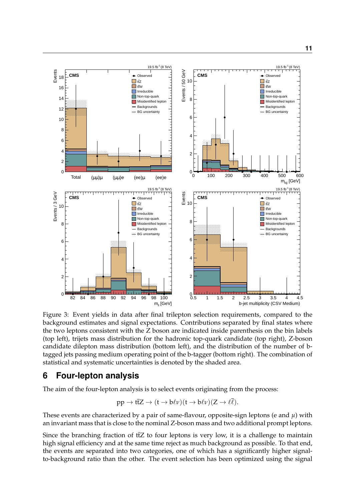

Figure 3: Event yields in data after final trilepton selection requirements, compared to the background estimates and signal expectations. Contributions separated by final states where the two leptons consistent with the Z boson are indicated inside parenthesis on the bin labels (top left), trijets mass distribution for the hadronic top-quark candidate (top right), Z-boson candidate dilepton mass distribution (bottom left), and the distribution of the number of btagged jets passing medium operating point of the b-tagger (bottom right). The combination of statistical and systematic uncertainties is denoted by the shaded area.

## **6 Four-lepton analysis**

The aim of the four-lepton analysis is to select events originating from the process:

$$
pp \to t\bar{t}Z \to (t \to b\ell\nu)(t \to b\ell\nu)(Z \to \ell\bar{\ell}).
$$

These events are characterized by a pair of same-flavour, opposite-sign leptons (e and *µ*) with an invariant mass that is close to the nominal Z-boson mass and two additional prompt leptons.

Since the branching fraction of  $t\bar{t}Z$  to four leptons is very low, it is a challenge to maintain high signal efficiency and at the same time reject as much background as possible. To that end, the events are separated into two categories, one of which has a significantly higher signalto-background ratio than the other. The event selection has been optimized using the signal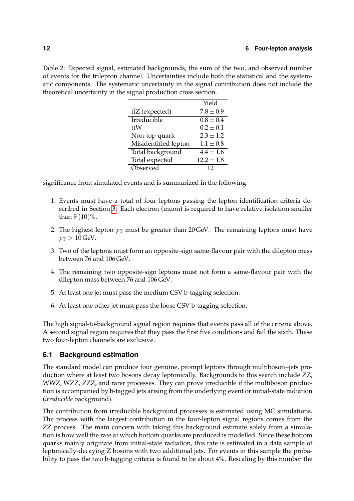Table 2: Expected signal, estimated backgrounds, the sum of the two, and observed number of events for the trilepton channel. Uncertainties include both the statistical and the systematic components. The systematic uncertainty in the signal contribution does not include the theoretical uncertainty in the signal production cross section.

|                      | Yield          |
|----------------------|----------------|
| ttZ (expected)       | $7.8 \pm 0.9$  |
| Irreducible          | $0.8 \pm 0.4$  |
| ttW                  | $0.2 \pm 0.1$  |
| Non-top-quark        | $2.3 \pm 1.2$  |
| Misidentified lepton | $1.1 \pm 0.8$  |
| Total background     | $4.4 \pm 1.6$  |
| Total expected       | $12.2 \pm 1.8$ |
| Observed             | 12             |

significance from simulated events and is summarized in the following:

- 1. Events must have a total of four leptons passing the lepton identification criteria described in Section 3. Each electron (muon) is required to have relative isolation smaller than  $9(10)\%$ .
- 2. The highest lepton  $p<sub>T</sub>$  must be greater than 20 GeV. The remaining leptons must have  $p_{\rm T} > 10$  GeV.
- 3. Two of the leptons must form an opposite-sign same-flavour pair with the dilepton mass between 76 and 106 GeV.
- 4. The remaining two opposite-sign leptons must not form a same-flavour pair with the dilepton mass between 76 and 106 GeV.
- 5. At least one jet must pass the medium CSV b-tagging selection.
- 6. At least one other jet must pass the loose CSV b-tagging selection.

The high signal-to-background signal region requires that events pass all of the criteria above. A second signal region requires that they pass the first five conditions and fail the sixth. These two four-lepton channels are exclusive.

## **6.1 Background estimation**

The standard model can produce four genuine, prompt leptons through multiboson+jets production where at least two bosons decay leptonically. Backgrounds to this search include ZZ, WWZ, WZZ, ZZZ, and rarer processes. They can prove irreducible if the multiboson production is accompanied by b-tagged jets arising from the underlying event or initial-state radiation (*irreducible* background).

The contribution from irreducible background processes is estimated using MC simulations. The process with the largest contribution in the four-lepton signal regions comes from the ZZ process. The main concern with taking this background estimate solely from a simulation is how well the rate at which bottom quarks are produced is modelled. Since these bottom quarks mainly originate from initial-state radiation, this rate is estimated in a data sample of leptonically-decaying Z bosons with two additional jets. For events in this sample the probability to pass the two b-tagging criteria is found to be about 4%. Rescaling by this number the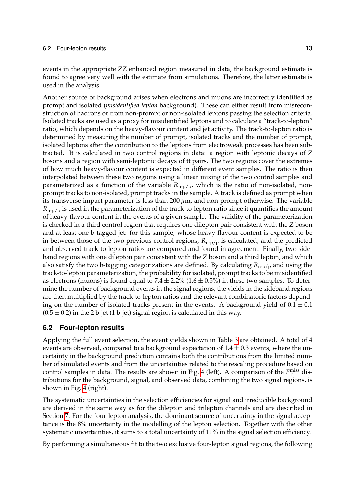events in the appropriate ZZ enhanced region measured in data, the background estimate is found to agree very well with the estimate from simulations. Therefore, the latter estimate is used in the analysis.

Another source of background arises when electrons and muons are incorrectly identified as prompt and isolated (*misidentified lepton* background). These can either result from misreconstruction of hadrons or from non-prompt or non-isolated leptons passing the selection criteria. Isolated tracks are used as a proxy for misidentified leptons and to calculate a "track-to-lepton" ratio, which depends on the heavy-flavour content and jet activity. The track-to-lepton ratio is determined by measuring the number of prompt, isolated tracks and the number of prompt, isolated leptons after the contribution to the leptons from electroweak processes has been subtracted. It is calculated in two control regions in data: a region with leptonic decays of Z bosons and a region with semi-leptonic decays of tt pairs. The two regions cover the extremes of how much heavy-flavour content is expected in different event samples. The ratio is then interpolated between these two regions using a linear mixing of the two control samples and parameterized as a function of the variable  $R_{\text{n-p/p}}$ , which is the ratio of non-isolated, nonprompt tracks to non-isolated, prompt tracks in the sample. A track is defined as prompt when its transverse impact parameter is less than 200 *µ*m, and non-prompt otherwise. The variable  $R_{\text{n-p/p}}$  is used in the parameterization of the track-to-lepton ratio since it quantifies the amount of heavy-flavour content in the events of a given sample. The validity of the parameterization is checked in a third control region that requires one dilepton pair consistent with the Z boson and at least one b-tagged jet: for this sample, whose heavy-flavour content is expected to be in between those of the two previous control regions,  $R_{\text{n-p/p}}$  is calculated, and the predicted and observed track-to-lepton ratios are compared and found in agreement. Finally, two sideband regions with one dilepton pair consistent with the Z boson and a third lepton, and which also satisfy the two b-tagging categorizations are defined. By calculating *R*n-p/p and using the track-to-lepton parameterization, the probability for isolated, prompt tracks to be misidentified as electrons (muons) is found equal to  $7.4 \pm 2.2\%$  (1.6  $\pm$  0.5%) in these two samples. To determine the number of background events in the signal regions, the yields in the sideband regions are then multiplied by the track-to-lepton ratios and the relevant combinatoric factors depending on the number of isolated tracks present in the events. A background yield of  $0.1 \pm 0.1$  $(0.5 \pm 0.2)$  in the 2 b-jet (1 b-jet) signal region is calculated in this way.

## **6.2 Four-lepton results**

Applying the full event selection, the event yields shown in Table 3 are obtained. A total of 4 events are observed, compared to a background expectation of  $1.4 \pm 0.3$  events, where the uncertainty in the background prediction contains both the contributions from the limited number of simulated events and from the uncertainties related to the rescaling procedure based on control samples in data. The results are shown in Fig. 4 (left). A comparison of the  $E_{\text{T}}^{\text{miss}}$  distributions for the background, signal, and observed data, combining the two signal regions, is shown in Fig. 4 (right).

The systematic uncertainties in the selection efficiencies for signal and irreducible background are derived in the same way as for the dilepton and trilepton channels and are described in Section 7. For the four-lepton analysis, the dominant source of uncertainty in the signal acceptance is the 8% uncertainty in the modelling of the lepton selection. Together with the other systematic uncertainties, it sums to a total uncertainty of 11% in the signal selection efficiency.

By performing a simultaneous fit to the two exclusive four-lepton signal regions, the following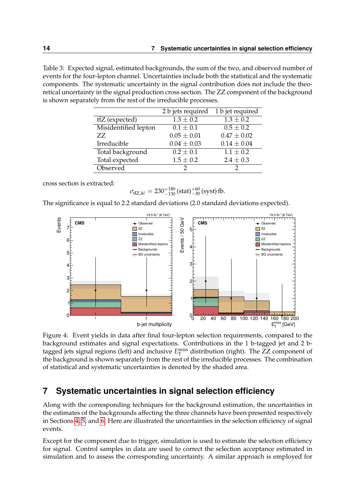Table 3: Expected signal, estimated backgrounds, the sum of the two, and observed number of events for the four-lepton channel. Uncertainties include both the statistical and the systematic components. The systematic uncertainty in the signal contribution does not include the theoretical uncertainty in the signal production cross section. The ZZ component of the background is shown separately from the rest of the irreducible processes.

|                      | 2 b jets required | 1 b jet required |
|----------------------|-------------------|------------------|
| ttZ (expected)       | $1.3 \pm 0.2$     | $1.3 \pm 0.2$    |
| Misidentified lepton | $0.1 \pm 0.1$     | $0.5 \pm 0.2$    |
| 77.                  | $0.05 \pm 0.01$   | $0.47 \pm 0.02$  |
| Irreducible          | $0.04 \pm 0.03$   | $0.14 \pm 0.04$  |
| Total background     | $0.2 \pm 0.1$     | $1.1 \pm 0.2$    |
| Total expected       | $1.5 \pm 0.2$     | $2.4 \pm 0.3$    |
| Observed             |                   |                  |

cross section is extracted:

$$
\sigma_{t\bar{t}Z,4\ell}=230^{+180}_{-130}\,\text{(stat)}^{+60}_{-30}\,\text{(syst) fb}.
$$

The significance is equal to 2.2 standard deviations (2.0 standard deviations expected).



Figure 4: Event yields in data after final four-lepton selection requirements, compared to the background estimates and signal expectations. Contributions in the 1 b-tagged jet and 2 btagged jets signal regions (left) and inclusive  $E_{\text{T}}^{\text{miss}}$  distribution (right). The ZZ component of the background is shown separately from the rest of the irreducible processes. The combination of statistical and systematic uncertainties is denoted by the shaded area.

# **7 Systematic uncertainties in signal selection efficiency**

Along with the corresponding techniques for the background estimation, the uncertainties in the estimates of the backgrounds affecting the three channels have been presented respectively in Sections 4, 5, and 6. Here are illustrated the uncertainties in the selection efficiency of signal events.

Except for the component due to trigger, simulation is used to estimate the selection efficiency for signal. Control samples in data are used to correct the selection acceptance estimated in simulation and to assess the corresponding uncertainty. A similar approach is employed for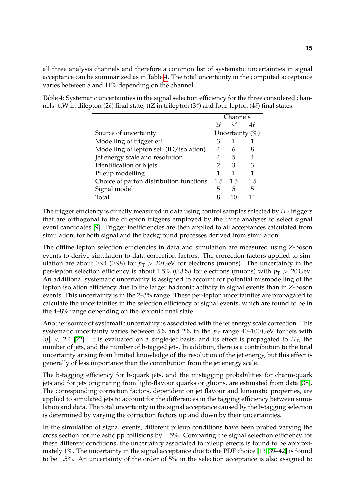all three analysis channels and therefore a common list of systematic uncertainties in signal acceptance can be summarized as in Table 4. The total uncertainty in the computed acceptance varies between 8 and 11% depending on the channel.

Table 4: Systematic uncertainties in the signal selection efficiency for the three considered channels: tt̄W in dilepton (2 $\ell$ ) final state; tt̄Z in trilepton (3 $\ell$ ) and four-lepton (4 $\ell$ ) final states.

|                                         |     | Channels           |     |  |
|-----------------------------------------|-----|--------------------|-----|--|
|                                         | 2l  | $3\ell$            | 4l  |  |
| Source of uncertainty                   |     | Uncertainty $(\%)$ |     |  |
| Modelling of trigger eff.               | З   |                    |     |  |
| Modelling of lepton sel. (ID/isolation) | 4   | 6                  | 8   |  |
| Jet energy scale and resolution         | 4   | 5                  |     |  |
| Identification of b jets                |     | 3                  | З   |  |
| Pileup modelling                        |     |                    |     |  |
| Choice of parton distribution functions | 1.5 | 1.5                | 1.5 |  |
| Signal model                            | 5   | 5                  | 5   |  |
| Total                                   | 8   |                    |     |  |

The trigger efficiency is directly measured in data using control samples selected by  $H<sub>T</sub>$  triggers that are orthogonal to the dilepton triggers employed by the three analyses to select signal event candidates [9]. Trigger inefficiencies are then applied to all acceptances calculated from simulation, for both signal and the background processes derived from simulation.

The offline lepton selection efficiencies in data and simulation are measured using Z-boson events to derive simulation-to-data correction factors. The correction factors applied to simulation are about 0.94 (0.98) for  $p_T > 20$  GeV for electrons (muons). The uncertainty in the per-lepton selection efficiency is about 1.5% (0.3%) for electrons (muons) with  $p<sub>T</sub> > 20$  GeV. An additional systematic uncertainty is assigned to account for potential mismodelling of the lepton isolation efficiency due to the larger hadronic activity in signal events than in Z-boson events. This uncertainty is in the 2–3% range. These per-lepton uncertainties are propagated to calculate the uncertainties in the selection efficiency of signal events, which are found to be in the 4–8% range depending on the leptonic final state.

Another source of systematic uncertainty is associated with the jet energy scale correction. This systematic uncertainty varies between 5% and 2% in the  $p<sub>T</sub>$  range 40–100 GeV for jets with  $|\eta|$  < 2.4 [22]. It is evaluated on a single-jet basis, and its effect is propagated to  $H<sub>T</sub>$ , the number of jets, and the number of b-tagged jets. In addition, there is a contribution to the total uncertainty arising from limited knowledge of the resolution of the jet energy, but this effect is generally of less importance than the contribution from the jet energy scale.

The b-tagging efficiency for b-quark jets, and the mistagging probabilities for charm-quark jets and for jets originating from light-flavour quarks or gluons, are estimated from data [38]. The corresponding correction factors, dependent on jet flavour and kinematic properties, are applied to simulated jets to account for the differences in the tagging efficiency between simulation and data. The total uncertainty in the signal acceptance caused by the b-tagging selection is determined by varying the correction factors up and down by their uncertainties.

In the simulation of signal events, different pileup conditions have been probed varying the cross section for inelastic pp collisions by  $\pm 5%$ . Comparing the signal selection efficiency for these different conditions, the uncertainty associated to pileup effects is found to be approximately 1%. The uncertainty in the signal acceptance due to the PDF choice [13, 39–42] is found to be 1.5%. An uncertainty of the order of 5% in the selection acceptance is also assigned to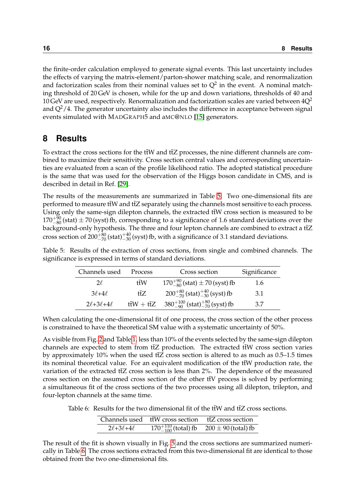the finite-order calculation employed to generate signal events. This last uncertainty includes the effects of varying the matrix-element/parton-shower matching scale, and renormalization and factorization scales from their nominal values set to  $Q^2$  in the event. A nominal matching threshold of 20 GeV is chosen, while for the up and down variations, thresholds of 40 and 10 GeV are used, respectively. Renormalization and factorization scales are varied between  $4Q^2$ and  $Q^2/4$ . The generator uncertainty also includes the difference in acceptance between signal events simulated with MADGRAPH5 and aMC@NLO [15] generators.

# **8 Results**

To extract the cross sections for the  $t$ <sub>t</sub> $W$  and  $t$ <sub>t</sub> $Z$  processes, the nine different channels are combined to maximize their sensitivity. Cross section central values and corresponding uncertainties are evaluated from a scan of the profile likelihood ratio. The adopted statistical procedure is the same that was used for the observation of the Higgs boson candidate in CMS, and is described in detail in Ref. [29].

The results of the measurements are summarized in Table 5. Two one-dimensional fits are performed to measure tt W and tt Z separately using the channels most sensitive to each process. Using only the same-sign dilepton channels, the extracted ttW cross section is measured to be  $170^{+90}_{-80}$  (stat)  $\pm$  70 (syst) fb, corresponding to a significance of 1.6 standard deviations over the background-only hypothesis. The three and four lepton channels are combined to extract a ttZ cross section of  $200^{+80}_{-70}$  (stat) $^{+40}_{-30}$  (syst) fb, with a significance of 3.1 standard deviations.

Table 5: Results of the extraction of cross sections, from single and combined channels. The significance is expressed in terms of standard deviations.

| Channels used           | <b>Process</b>          | Cross section                                      | Significance |
|-------------------------|-------------------------|----------------------------------------------------|--------------|
| $2\ell$                 | <b>t</b> FW             | $170^{+90}_{-80}$ (stat) $\pm 70$ (syst) fb        | 1.6          |
| $3\ell + 4\ell$         | ttZ.                    | $200^{+80}_{-70}$ (stat) $^{+40}_{-30}$ (syst) fb  | 3.1          |
| $2\ell + 3\ell + 4\ell$ | $t\bar{t}W + t\bar{t}Z$ | $380^{+100}_{-90}$ (stat) $^{+80}_{-70}$ (syst) fb | 3.7          |

When calculating the one-dimensional fit of one process, the cross section of the other process is constrained to have the theoretical SM value with a systematic uncertainty of 50%.

As visible from Fig. 2 and Table 1, less than 10% of the events selected by the same-sign dilepton channels are expected to stem from ttZ production. The extracted ttW cross section varies by approximately 10% when the used  $t\bar{t}Z$  cross section is altered to as much as 0.5–1.5 times its nominal theoretical value. For an equivalent modification of the ttW production rate, the variation of the extracted tt<sup>z</sup> cross section is less than 2%. The dependence of the measured cross section on the assumed cross section of the other ttV process is solved by performing a simultaneous fit of the cross sections of the two processes using all dilepton, trilepton, and four-lepton channels at the same time.

Table 6: Results for the two dimensional fit of the tte and tte cross sections.

|                         | Channels used t <del>te</del> W cross section | ttZ cross section                                      |
|-------------------------|-----------------------------------------------|--------------------------------------------------------|
| $2\ell + 3\ell + 4\ell$ |                                               | $170^{+110}_{-100}$ (total) fb $200 \pm 90$ (total) fb |

The result of the fit is shown visually in Fig. 5 and the cross sections are summarized numerically in Table 6. The cross sections extracted from this two-dimensional fit are identical to those obtained from the two one-dimensional fits.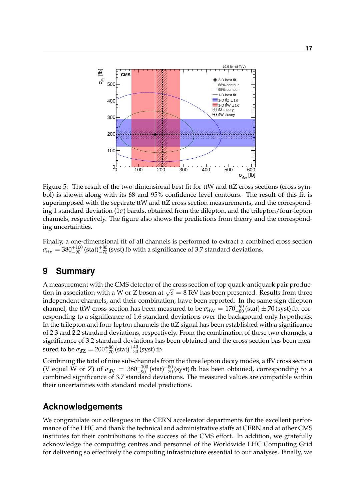

Figure 5: The result of the two-dimensional best fit for  $t\bar{t}W$  and  $t\bar{t}Z$  cross sections (cross symbol) is shown along with its 68 and 95% confidence level contours. The result of this fit is superimposed with the separate tt<sup>W</sup> and tt<sup>Z</sup> cross section measurements, and the corresponding 1 standard deviation (1*σ*) bands, obtained from the dilepton, and the trilepton/four-lepton channels, respectively. The figure also shows the predictions from theory and the corresponding uncertainties.

Finally, a one-dimensional fit of all channels is performed to extract a combined cross section  $\sigma_{\rm t\bar{t}V} =$  380 $^{+100}_{-90}$  (stat) $^{+80}_{-70}$  (syst) fb with a significance of 3.7 standard deviations.

# **9 Summary**

A measurement with the CMS detector of the cross section of top quark-antiquark pair produc-A measurement with the CMS detector of the cross section of top quark-antiquark pair production in association with a W or Z boson at  $\sqrt{s} = 8$  TeV has been presented. Results from three independent channels, and their combination, have been reported. In the same-sign dilepton channel, the tt<sup>T</sup>W cross section has been measured to be  $\sigma_{\text{t\bar{t}W}} = 170^{+90}_{-80}$  (stat)  $\pm 70$  (syst) fb, corresponding to a significance of 1.6 standard deviations over the background-only hypothesis. In the trilepton and four-lepton channels the ttz signal has been established with a significance of 2.3 and 2.2 standard deviations, respectively. From the combination of these two channels, a significance of 3.2 standard deviations has been obtained and the cross section bas been measured to be  $\sigma_{\text{t\bar{t}Z}} = 200^{+80}_{-70} \, (\text{stat})^{+40}_{-30} \, (\text{syst})$  fb.

Combining the total of nine sub-channels from the three lepton decay modes, a ttV cross section (V equal W or Z) of  $\sigma_{\text{t\bar{t}V}} = 380^{+100}_{-90}$  (stat) $^{+80}_{-70}$  (syst) fb has been obtained, corresponding to a combined significance of 3.7 standard deviations. The measured values are compatible within their uncertainties with standard model predictions.

# **Acknowledgements**

We congratulate our colleagues in the CERN accelerator departments for the excellent performance of the LHC and thank the technical and administrative staffs at CERN and at other CMS institutes for their contributions to the success of the CMS effort. In addition, we gratefully acknowledge the computing centres and personnel of the Worldwide LHC Computing Grid for delivering so effectively the computing infrastructure essential to our analyses. Finally, we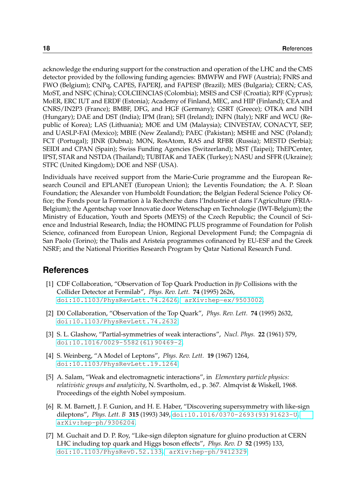acknowledge the enduring support for the construction and operation of the LHC and the CMS detector provided by the following funding agencies: BMWFW and FWF (Austria); FNRS and FWO (Belgium); CNPq, CAPES, FAPERJ, and FAPESP (Brazil); MES (Bulgaria); CERN; CAS, MoST, and NSFC (China); COLCIENCIAS (Colombia); MSES and CSF (Croatia); RPF (Cyprus); MoER, ERC IUT and ERDF (Estonia); Academy of Finland, MEC, and HIP (Finland); CEA and CNRS/IN2P3 (France); BMBF, DFG, and HGF (Germany); GSRT (Greece); OTKA and NIH (Hungary); DAE and DST (India); IPM (Iran); SFI (Ireland); INFN (Italy); NRF and WCU (Republic of Korea); LAS (Lithuania); MOE and UM (Malaysia); CINVESTAV, CONACYT, SEP, and UASLP-FAI (Mexico); MBIE (New Zealand); PAEC (Pakistan); MSHE and NSC (Poland); FCT (Portugal); JINR (Dubna); MON, RosAtom, RAS and RFBR (Russia); MESTD (Serbia); SEIDI and CPAN (Spain); Swiss Funding Agencies (Switzerland); MST (Taipei); ThEPCenter, IPST, STAR and NSTDA (Thailand); TUBITAK and TAEK (Turkey); NASU and SFFR (Ukraine); STFC (United Kingdom); DOE and NSF (USA).

Individuals have received support from the Marie-Curie programme and the European Research Council and EPLANET (European Union); the Leventis Foundation; the A. P. Sloan Foundation; the Alexander von Humboldt Foundation; the Belgian Federal Science Policy Office; the Fonds pour la Formation a la Recherche dans l'Industrie et dans l'Agriculture (FRIA- ` Belgium); the Agentschap voor Innovatie door Wetenschap en Technologie (IWT-Belgium); the Ministry of Education, Youth and Sports (MEYS) of the Czech Republic; the Council of Science and Industrial Research, India; the HOMING PLUS programme of Foundation for Polish Science, cofinanced from European Union, Regional Development Fund; the Compagnia di San Paolo (Torino); the Thalis and Aristeia programmes cofinanced by EU-ESF and the Greek NSRF; and the National Priorities Research Program by Qatar National Research Fund.

## **References**

- [1] CDF Collaboration, "Observation of Top Quark Production in  $\bar{p}p$  Collisions with the Collider Detector at Fermilab", *Phys. Rev. Lett.* **74** (1995) 2626, [doi:10.1103/PhysRevLett.74.2626](http://dx.doi.org/10.1103/PhysRevLett.74.2626), [arXiv:hep-ex/9503002](http://www.arXiv.org/abs/hep-ex/9503002).
- [2] D0 Collaboration, "Observation of the Top Quark", *Phys. Rev. Lett.* **74** (1995) 2632, [doi:10.1103/PhysRevLett.74.2632](http://dx.doi.org/10.1103/PhysRevLett.74.2632).
- [3] S. L. Glashow, "Partial-symmetries of weak interactions", *Nucl. Phys.* **22** (1961) 579, [doi:10.1016/0029-5582\(61\)90469-2](http://dx.doi.org/10.1016/0029-5582(61)90469-2).
- [4] S. Weinberg, "A Model of Leptons", *Phys. Rev. Lett.* **19** (1967) 1264, [doi:10.1103/PhysRevLett.19.1264](http://dx.doi.org/10.1103/PhysRevLett.19.1264).
- [5] A. Salam, "Weak and electromagnetic interactions", in *Elementary particle physics: relativistic groups and analyticity*, N. Svartholm, ed., p. 367. Almqvist & Wiskell, 1968. Proceedings of the eighth Nobel symposium.
- [6] R. M. Barnett, J. F. Gunion, and H. E. Haber, "Discovering supersymmetry with like-sign dileptons", *Phys. Lett. B* **315** (1993) 349, [doi:10.1016/0370-2693\(93\)91623-U](http://dx.doi.org/10.1016/0370-2693(93)91623-U), [arXiv:hep-ph/9306204](http://www.arXiv.org/abs/hep-ph/9306204).
- [7] M. Guchait and D. P. Roy, "Like-sign dilepton signature for gluino production at CERN LHC including top quark and Higgs boson effects", *Phys. Rev. D* **52** (1995) 133, [doi:10.1103/PhysRevD.52.133](http://dx.doi.org/10.1103/PhysRevD.52.133), [arXiv:hep-ph/9412329](http://www.arXiv.org/abs/hep-ph/9412329).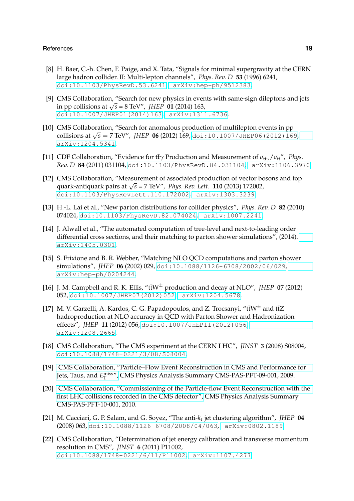- [8] H. Baer, C.-h. Chen, F. Paige, and X. Tata, "Signals for minimal supergravity at the CERN large hadron collider. II: Multi-lepton channels", *Phys. Rev. D* **53** (1996) 6241, [doi:10.1103/PhysRevD.53.6241](http://dx.doi.org/10.1103/PhysRevD.53.6241), [arXiv:hep-ph/9512383](http://www.arXiv.org/abs/hep-ph/9512383).
- [9] CMS Collaboration, "Search for new physics in events with same-sign dileptons and jets  $\sum_{i=1}^{N}$  collaboration, search for hew physics in ever<br>in pp collisions at  $\sqrt{s} = 8$  TeV", *JHEP* **01** (2014) 163, [doi:10.1007/JHEP01\(2014\)163](http://dx.doi.org/10.1007/JHEP01(2014)163), [arXiv:1311.6736](http://www.arXiv.org/abs/1311.6736).
- [10] CMS Collaboration, "Search for anomalous production of multilepton events in pp  $\chi$  collisions at  $\sqrt{s} = 7$  TeV", *JHEP* **06** (2012) 169, [doi:10.1007/JHEP06\(2012\)169](http://dx.doi.org/10.1007/JHEP06(2012)169), [arXiv:1204.5341](http://www.arXiv.org/abs/1204.5341).
- [11] CDF Collaboration, "Evidence for tt̄γ Production and Measurement of  $\sigma_{\text{tfy}}/\sigma_{\text{tf}}$ ", *Phys. Rev. D* **84** (2011) 031104, [doi:10.1103/PhysRevD.84.031104](http://dx.doi.org/10.1103/PhysRevD.84.031104), [arXiv:1106.3970](http://www.arXiv.org/abs/1106.3970).
- [12] CMS Collaboration, "Measurement of associated production of vector bosons and top quark-antiquark pairs at <sup>√</sup> *s* = 7 TeV", *Phys. Rev. Lett.* **110** (2013) 172002, [doi:10.1103/PhysRevLett.110.172002](http://dx.doi.org/10.1103/PhysRevLett.110.172002), [arXiv:1303.3239](http://www.arXiv.org/abs/1303.3239).
- [13] H.-L. Lai et al., "New parton distributions for collider physics", *Phys. Rev. D* **82** (2010) 074024, [doi:10.1103/PhysRevD.82.074024](http://dx.doi.org/10.1103/PhysRevD.82.074024), [arXiv:1007.2241](http://www.arXiv.org/abs/1007.2241).
- [14] J. Alwall et al., "The automated computation of tree-level and next-to-leading order differential cross sections, and their matching to parton shower simulations", (2014). [arXiv:1405.0301](http://www.arXiv.org/abs/1405.0301).
- [15] S. Frixione and B. R. Webber, "Matching NLO QCD computations and parton shower simulations", *JHEP* **06** (2002) 029, [doi:10.1088/1126-6708/2002/06/029](http://dx.doi.org/10.1088/1126-6708/2002/06/029), [arXiv:hep-ph/0204244](http://www.arXiv.org/abs/hep-ph/0204244).
- [16] J. M. Campbell and R. K. Ellis, " $t\bar{t}W^{\pm}$  production and decay at NLO", *JHEP* **07** (2012) 052, [doi:10.1007/JHEP07\(2012\)052](http://dx.doi.org/10.1007/JHEP07(2012)052), [arXiv:1204.5678](http://www.arXiv.org/abs/1204.5678).
- [17] M. V. Garzelli, A. Kardos, C. G. Papadopoulos, and Z. Trocsanyi, " $t\bar{t}W^{\pm}$  and  $t\bar{t}Z$ hadroproduction at NLO accuracy in QCD with Parton Shower and Hadronization effects", *JHEP* **11** (2012) 056, [doi:10.1007/JHEP11\(2012\)056](http://dx.doi.org/10.1007/JHEP11(2012)056), [arXiv:1208.2665](http://www.arXiv.org/abs/1208.2665).
- [18] CMS Collaboration, "The CMS experiment at the CERN LHC", *JINST* **3** (2008) S08004, [doi:10.1088/1748-0221/3/08/S08004](http://dx.doi.org/10.1088/1748-0221/3/08/S08004).
- [19] [CMS Collaboration, "Particle–Flow Event Reconstruction in CMS and Performance for](http://cdsweb.cern.ch/record/1194487) [Jets, Taus, and](http://cdsweb.cern.ch/record/1194487)  $E_{\textrm{T}}^{\textrm{miss}}$ ", CMS Physics Analysis Summary CMS-PAS-PFT-09-001, 2009.
- [20] [CMS Collaboration, "Commissioning of the Particle-flow Event Reconstruction with the](http://cdsweb.cern.ch/record/1247373) [first LHC collisions recorded in the CMS detector",](http://cdsweb.cern.ch/record/1247373) CMS Physics Analysis Summary CMS-PAS-PFT-10-001, 2010.
- [21] M. Cacciari, G. P. Salam, and G. Soyez, "The anti-*k<sup>t</sup>* jet clustering algorithm", *JHEP* **04** (2008) 063, [doi:10.1088/1126-6708/2008/04/063](http://dx.doi.org/10.1088/1126-6708/2008/04/063), [arXiv:0802.1189](http://www.arXiv.org/abs/0802.1189).
- [22] CMS Collaboration, "Determination of jet energy calibration and transverse momentum resolution in CMS", *JINST* **6** (2011) P11002, [doi:10.1088/1748-0221/6/11/P11002](http://dx.doi.org/10.1088/1748-0221/6/11/P11002), [arXiv:1107.4277](http://www.arXiv.org/abs/1107.4277).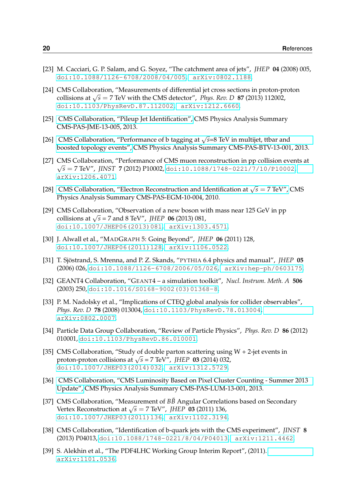- [23] M. Cacciari, G. P. Salam, and G. Soyez, "The catchment area of jets", *JHEP* **04** (2008) 005, [doi:10.1088/1126-6708/2008/04/005](http://dx.doi.org/10.1088/1126-6708/2008/04/005), [arXiv:0802.1188](http://www.arXiv.org/abs/0802.1188).
- [24] CMS Collaboration, "Measurements of differential jet cross sections in proton-proton  $\chi$ <sup>2</sup> Collaboration, we assume the constraint of the cross sections in proton-probabilities at  $\sqrt{s} = 7$  TeV with the CMS detector", *Phys. Rev. D* **87** (2013) 112002, [doi:10.1103/PhysRevD.87.112002](http://dx.doi.org/10.1103/PhysRevD.87.112002), [arXiv:1212.6660](http://www.arXiv.org/abs/1212.6660).
- [25] [CMS Collaboration, "Pileup Jet Identification",](http://cdsweb.cern.ch/record/1581583) CMS Physics Analysis Summary CMS-PAS-JME-13-005, 2013.
- [26] [CMS Collaboration, "Performance of b tagging at](http://cds.cern.ch/record/1581306) <sup>√</sup> *s*=8 TeV in multijet, ttbar and [boosted topology events",](http://cds.cern.ch/record/1581306) CMS Physics Analysis Summary CMS-PAS-BTV-13-001, 2013.
- [27] CMS Collaboration, "Performance of CMS muon reconstruction in pp collision events at √  $\sqrt{s}$  = 7 TeV", *JINST* 7 (2012) P10002, [doi:10.1088/1748-0221/7/10/P10002](http://dx.doi.org/10.1088/1748-0221/7/10/P10002), [arXiv:1206.4071](http://www.arXiv.org/abs/1206.4071).
- [28] [CMS Collaboration, "Electron Reconstruction and Identification at](http://cdsweb.cern.ch/record/1299116)  $\sqrt{s} = 7$  TeV", CMS Physics Analysis Summary CMS-PAS-EGM-10-004, 2010.
- [29] CMS Collaboration, "Observation of a new boson with mass near 125 GeV in pp  $\frac{1}{2}$  collaboration,  $\frac{1}{2}$  betward of a new boson w collisions at  $\sqrt{s} = 7$  and 8 TeV", *JHEP* **06** (2013) 081, [doi:10.1007/JHEP06\(2013\)081](http://dx.doi.org/10.1007/JHEP06(2013)081), [arXiv:1303.4571](http://www.arXiv.org/abs/1303.4571).
- [30] J. Alwall et al., "MADGRAPH 5: Going Beyond", *JHEP* **06** (2011) 128, [doi:10.1007/JHEP06\(2011\)128](http://dx.doi.org/10.1007/JHEP06(2011)128), [arXiv:1106.0522](http://www.arXiv.org/abs/1106.0522).
- [31] T. Sjostrand, S. Mrenna, and P. Z. Skands, " ¨ PYTHIA 6.4 physics and manual", *JHEP* **05** (2006) 026, [doi:10.1088/1126-6708/2006/05/026](http://dx.doi.org/10.1088/1126-6708/2006/05/026), [arXiv:hep-ph/0603175](http://www.arXiv.org/abs/hep-ph/0603175).
- [32] GEANT4 Collaboration, "GEANT4 a simulation toolkit", *Nucl. Instrum. Meth. A* **506** (2003) 250, [doi:10.1016/S0168-9002\(03\)01368-8](http://dx.doi.org/10.1016/S0168-9002(03)01368-8).
- [33] P. M. Nadolsky et al., "Implications of CTEQ global analysis for collider observables", *Phys. Rev. D* **78** (2008) 013004, [doi:10.1103/PhysRevD.78.013004](http://dx.doi.org/10.1103/PhysRevD.78.013004), [arXiv:0802.0007](http://www.arXiv.org/abs/0802.0007).
- [34] Particle Data Group Collaboration, "Review of Particle Physics", *Phys. Rev. D* **86** (2012) 010001, [doi:10.1103/PhysRevD.86.010001](http://dx.doi.org/10.1103/PhysRevD.86.010001).
- [35] CMS Collaboration, "Study of double parton scattering using  $W + 2$ -jet events in proton-proton collisions at <sup>√</sup> *s* = 7 TeV", *JHEP* **03** (2014) 032, [doi:10.1007/JHEP03\(2014\)032](http://dx.doi.org/10.1007/JHEP03(2014)032), [arXiv:1312.5729](http://www.arXiv.org/abs/1312.5729).
- [36] [CMS Collaboration, "CMS Luminosity Based on Pixel Cluster Counting Summer 2013](http://cdsweb.cern.ch/record/1598864) [Update",](http://cdsweb.cern.ch/record/1598864) CMS Physics Analysis Summary CMS-PAS-LUM-13-001, 2013.
- [37] CMS Collaboration, "Measurement of  $B\bar{B}$  Angular Correlations based on Secondary  $\epsilon$  UNIS Conaboration, Measurement of *BB* Angular Correlation at  $\sqrt{s} = 7$  TeV", *JHEP* **03** (2011) 136, [doi:10.1007/JHEP03\(2011\)136](http://dx.doi.org/10.1007/JHEP03(2011)136), [arXiv:1102.3194](http://www.arXiv.org/abs/1102.3194).
- [38] CMS Collaboration, "Identification of b-quark jets with the CMS experiment", *JINST* **8** (2013) P04013, [doi:10.1088/1748-0221/8/04/P04013](http://dx.doi.org/10.1088/1748-0221/8/04/P04013), [arXiv:1211.4462](http://www.arXiv.org/abs/1211.4462).
- [39] S. Alekhin et al., "The PDF4LHC Working Group Interim Report", (2011). [arXiv:1101.0536](http://www.arXiv.org/abs/1101.0536).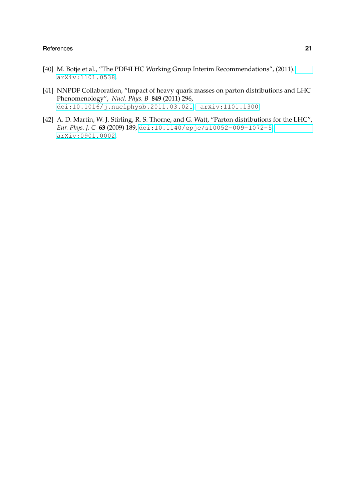- [40] M. Botje et al., "The PDF4LHC Working Group Interim Recommendations", (2011). [arXiv:1101.0538](http://www.arXiv.org/abs/1101.0538).
- [41] NNPDF Collaboration, "Impact of heavy quark masses on parton distributions and LHC Phenomenology", *Nucl. Phys. B* **849** (2011) 296, [doi:10.1016/j.nuclphysb.2011.03.021](http://dx.doi.org/10.1016/j.nuclphysb.2011.03.021), [arXiv:1101.1300](http://www.arXiv.org/abs/1101.1300).
- [42] A. D. Martin, W. J. Stirling, R. S. Thorne, and G. Watt, "Parton distributions for the LHC", *Eur. Phys. J. C* **63** (2009) 189, [doi:10.1140/epjc/s10052-009-1072-5](http://dx.doi.org/10.1140/epjc/s10052-009-1072-5), [arXiv:0901.0002](http://www.arXiv.org/abs/0901.0002).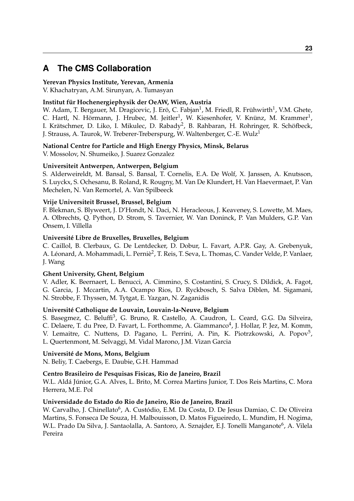# **A The CMS Collaboration**

## **Yerevan Physics Institute, Yerevan, Armenia**

V. Khachatryan, A.M. Sirunyan, A. Tumasyan

## Institut für Hochenergiephysik der OeAW, Wien, Austria

W. Adam, T. Bergauer, M. Dragicevic, J. Erö, C. Fabjan<sup>1</sup>, M. Friedl, R. Frühwirth<sup>1</sup>, V.M. Ghete, C. Hartl, N. Hörmann, J. Hrubec, M. Jeitler<sup>1</sup>, W. Kiesenhofer, V. Knünz, M. Krammer<sup>1</sup>, I. Krätschmer, D. Liko, I. Mikulec, D. Rabady<sup>2</sup>, B. Rahbaran, H. Rohringer, R. Schöfbeck, J. Strauss, A. Taurok, W. Treberer-Treberspurg, W. Waltenberger, C.-E. Wulz<sup>1</sup>

**National Centre for Particle and High Energy Physics, Minsk, Belarus**

V. Mossolov, N. Shumeiko, J. Suarez Gonzalez

## **Universiteit Antwerpen, Antwerpen, Belgium**

S. Alderweireldt, M. Bansal, S. Bansal, T. Cornelis, E.A. De Wolf, X. Janssen, A. Knutsson, S. Luyckx, S. Ochesanu, B. Roland, R. Rougny, M. Van De Klundert, H. Van Haevermaet, P. Van Mechelen, N. Van Remortel, A. Van Spilbeeck

## **Vrije Universiteit Brussel, Brussel, Belgium**

F. Blekman, S. Blyweert, J. D'Hondt, N. Daci, N. Heracleous, J. Keaveney, S. Lowette, M. Maes, A. Olbrechts, Q. Python, D. Strom, S. Tavernier, W. Van Doninck, P. Van Mulders, G.P. Van Onsem, I. Villella

## **Universit´e Libre de Bruxelles, Bruxelles, Belgium**

C. Caillol, B. Clerbaux, G. De Lentdecker, D. Dobur, L. Favart, A.P.R. Gay, A. Grebenyuk, A. Léonard, A. Mohammadi, L. Perniè<sup>2</sup>, T. Reis, T. Seva, L. Thomas, C. Vander Velde, P. Vanlaer, J. Wang

## **Ghent University, Ghent, Belgium**

V. Adler, K. Beernaert, L. Benucci, A. Cimmino, S. Costantini, S. Crucy, S. Dildick, A. Fagot, G. Garcia, J. Mccartin, A.A. Ocampo Rios, D. Ryckbosch, S. Salva Diblen, M. Sigamani, N. Strobbe, F. Thyssen, M. Tytgat, E. Yazgan, N. Zaganidis

## **Universit´e Catholique de Louvain, Louvain-la-Neuve, Belgium**

S. Basegmez, C. Beluffi<sup>3</sup>, G. Bruno, R. Castello, A. Caudron, L. Ceard, G.G. Da Silveira,

C. Delaere, T. du Pree, D. Favart, L. Forthomme, A. Giammanco<sup>4</sup>, J. Hollar, P. Jez, M. Komm,

V. Lemaitre, C. Nuttens, D. Pagano, L. Perrini, A. Pin, K. Piotrzkowski, A. Popov<sup>5</sup>,

L. Quertenmont, M. Selvaggi, M. Vidal Marono, J.M. Vizan Garcia

## **Universit´e de Mons, Mons, Belgium**

N. Beliy, T. Caebergs, E. Daubie, G.H. Hammad

## **Centro Brasileiro de Pesquisas Fisicas, Rio de Janeiro, Brazil**

W.L. Aldá Júnior, G.A. Alves, L. Brito, M. Correa Martins Junior, T. Dos Reis Martins, C. Mora Herrera, M.E. Pol

## **Universidade do Estado do Rio de Janeiro, Rio de Janeiro, Brazil**

W. Carvalho, J. Chinellato<sup>6</sup>, A. Custódio, E.M. Da Costa, D. De Jesus Damiao, C. De Oliveira Martins, S. Fonseca De Souza, H. Malbouisson, D. Matos Figueiredo, L. Mundim, H. Nogima, W.L. Prado Da Silva, J. Santaolalla, A. Santoro, A. Sznajder, E.J. Tonelli Manganote<sup>6</sup>, A. Vilela Pereira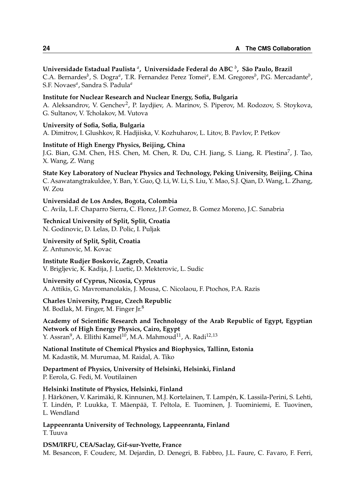## **Universidade Estadual Paulista** *<sup>a</sup>* **, Universidade Federal do ABC** *<sup>b</sup>* **, S ˜ao Paulo, Brazil**

C.A. Bernardes<sup>b</sup>, S. Dogra<sup>a</sup>, T.R. Fernandez Perez Tomei<sup>a</sup>, E.M. Gregores<sup>b</sup>, P.G. Mercadante<sup>b</sup>, S.F. Novaes*<sup>a</sup>* , Sandra S. Padula*<sup>a</sup>*

## **Institute for Nuclear Research and Nuclear Energy, Sofia, Bulgaria**

A. Aleksandrov, V. Genchev<sup>2</sup>, P. Iaydjiev, A. Marinov, S. Piperov, M. Rodozov, S. Stoykova, G. Sultanov, V. Tcholakov, M. Vutova

## **University of Sofia, Sofia, Bulgaria**

A. Dimitrov, I. Glushkov, R. Hadjiiska, V. Kozhuharov, L. Litov, B. Pavlov, P. Petkov

## **Institute of High Energy Physics, Beijing, China**

J.G. Bian, G.M. Chen, H.S. Chen, M. Chen, R. Du, C.H. Jiang, S. Liang, R. Plestina<sup>7</sup>, J. Tao, X. Wang, Z. Wang

**State Key Laboratory of Nuclear Physics and Technology, Peking University, Beijing, China** C. Asawatangtrakuldee, Y. Ban, Y. Guo, Q. Li, W. Li, S. Liu, Y. Mao, S.J. Qian, D. Wang, L. Zhang, W. Zou

**Universidad de Los Andes, Bogota, Colombia** C. Avila, L.F. Chaparro Sierra, C. Florez, J.P. Gomez, B. Gomez Moreno, J.C. Sanabria

# **Technical University of Split, Split, Croatia**

N. Godinovic, D. Lelas, D. Polic, I. Puljak

## **University of Split, Split, Croatia** Z. Antunovic, M. Kovac

**Institute Rudjer Boskovic, Zagreb, Croatia** V. Brigljevic, K. Kadija, J. Luetic, D. Mekterovic, L. Sudic

**University of Cyprus, Nicosia, Cyprus** A. Attikis, G. Mavromanolakis, J. Mousa, C. Nicolaou, F. Ptochos, P.A. Razis

## **Charles University, Prague, Czech Republic** M. Bodlak, M. Finger, M. Finger Jr.<sup>8</sup>

**Academy of Scientific Research and Technology of the Arab Republic of Egypt, Egyptian Network of High Energy Physics, Cairo, Egypt** Y. Assran<sup>9</sup>, A. Ellithi Kamel<sup>10</sup>, M.A. Mahmoud<sup>11</sup>, A. Radi<sup>12,13</sup>

**National Institute of Chemical Physics and Biophysics, Tallinn, Estonia** M. Kadastik, M. Murumaa, M. Raidal, A. Tiko

**Department of Physics, University of Helsinki, Helsinki, Finland** P. Eerola, G. Fedi, M. Voutilainen

## **Helsinki Institute of Physics, Helsinki, Finland**

J. Härkönen, V. Karimäki, R. Kinnunen, M.J. Kortelainen, T. Lampén, K. Lassila-Perini, S. Lehti, T. Lindén, P. Luukka, T. Mäenpää, T. Peltola, E. Tuominen, J. Tuominiemi, E. Tuovinen, L. Wendland

**Lappeenranta University of Technology, Lappeenranta, Finland** T. Tuuva

## **DSM/IRFU, CEA/Saclay, Gif-sur-Yvette, France**

M. Besancon, F. Couderc, M. Dejardin, D. Denegri, B. Fabbro, J.L. Faure, C. Favaro, F. Ferri,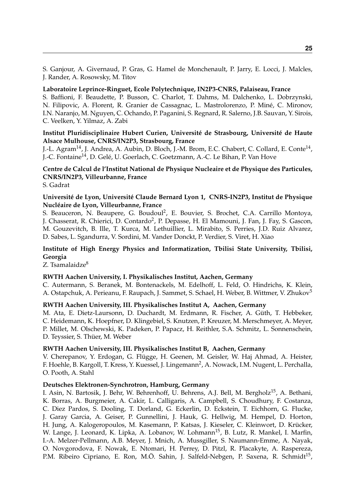S. Ganjour, A. Givernaud, P. Gras, G. Hamel de Monchenault, P. Jarry, E. Locci, J. Malcles, J. Rander, A. Rosowsky, M. Titov

#### **Laboratoire Leprince-Ringuet, Ecole Polytechnique, IN2P3-CNRS, Palaiseau, France**

S. Baffioni, F. Beaudette, P. Busson, C. Charlot, T. Dahms, M. Dalchenko, L. Dobrzynski, N. Filipovic, A. Florent, R. Granier de Cassagnac, L. Mastrolorenzo, P. Mine, C. Mironov, ´ I.N. Naranjo, M. Nguyen, C. Ochando, P. Paganini, S. Regnard, R. Salerno, J.B. Sauvan, Y. Sirois, C. Veelken, Y. Yilmaz, A. Zabi

## Institut Pluridisciplinaire Hubert Curien, Université de Strasbourg, Université de Haute **Alsace Mulhouse, CNRS/IN2P3, Strasbourg, France**

J.-L. Agram<sup>14</sup>, J. Andrea, A. Aubin, D. Bloch, J.-M. Brom, E.C. Chabert, C. Collard, E. Conte<sup>14</sup>, J.-C. Fontaine<sup>14</sup>, D. Gelé, U. Goerlach, C. Goetzmann, A.-C. Le Bihan, P. Van Hove

# **Centre de Calcul de l'Institut National de Physique Nucleaire et de Physique des Particules, CNRS/IN2P3, Villeurbanne, France**

S. Gadrat

## **Université de Lyon, Université Claude Bernard Lyon 1, CNRS-IN2P3, Institut de Physique Nucl´eaire de Lyon, Villeurbanne, France**

S. Beauceron, N. Beaupere, G. Boudoul<sup>2</sup>, E. Bouvier, S. Brochet, C.A. Carrillo Montoya, J. Chasserat, R. Chierici, D. Contardo<sup>2</sup>, P. Depasse, H. El Mamouni, J. Fan, J. Fay, S. Gascon, M. Gouzevitch, B. Ille, T. Kurca, M. Lethuillier, L. Mirabito, S. Perries, J.D. Ruiz Alvarez, D. Sabes, L. Sgandurra, V. Sordini, M. Vander Donckt, P. Verdier, S. Viret, H. Xiao

## **Institute of High Energy Physics and Informatization, Tbilisi State University, Tbilisi, Georgia**

Z. Tsamalaidze $8$ 

## **RWTH Aachen University, I. Physikalisches Institut, Aachen, Germany**

C. Autermann, S. Beranek, M. Bontenackels, M. Edelhoff, L. Feld, O. Hindrichs, K. Klein, A. Ostapchuk, A. Perieanu, F. Raupach, J. Sammet, S. Schael, H. Weber, B. Wittmer, V. Zhukov<sup>5</sup>

## **RWTH Aachen University, III. Physikalisches Institut A, Aachen, Germany**

M. Ata, E. Dietz-Laursonn, D. Duchardt, M. Erdmann, R. Fischer, A. Güth, T. Hebbeker, C. Heidemann, K. Hoepfner, D. Klingebiel, S. Knutzen, P. Kreuzer, M. Merschmeyer, A. Meyer, P. Millet, M. Olschewski, K. Padeken, P. Papacz, H. Reithler, S.A. Schmitz, L. Sonnenschein, D. Teyssier, S. Thüer, M. Weber

## **RWTH Aachen University, III. Physikalisches Institut B, Aachen, Germany**

V. Cherepanov, Y. Erdogan, G. Flugge, H. Geenen, M. Geisler, W. Haj Ahmad, A. Heister, ¨ F. Hoehle, B. Kargoll, T. Kress, Y. Kuessel, J. Lingemann<sup>2</sup>, A. Nowack, I.M. Nugent, L. Perchalla, O. Pooth, A. Stahl

## **Deutsches Elektronen-Synchrotron, Hamburg, Germany**

I. Asin, N. Bartosik, J. Behr, W. Behrenhoff, U. Behrens, A.J. Bell, M. Bergholz<sup>15</sup>, A. Bethani, K. Borras, A. Burgmeier, A. Cakir, L. Calligaris, A. Campbell, S. Choudhury, F. Costanza, C. Diez Pardos, S. Dooling, T. Dorland, G. Eckerlin, D. Eckstein, T. Eichhorn, G. Flucke, J. Garay Garcia, A. Geiser, P. Gunnellini, J. Hauk, G. Hellwig, M. Hempel, D. Horton, H. Jung, A. Kalogeropoulos, M. Kasemann, P. Katsas, J. Kieseler, C. Kleinwort, D. Krücker, W. Lange, J. Leonard, K. Lipka, A. Lobanov, W. Lohmann<sup>15</sup>, B. Lutz, R. Mankel, I. Marfin, I.-A. Melzer-Pellmann, A.B. Meyer, J. Mnich, A. Mussgiller, S. Naumann-Emme, A. Nayak, O. Novgorodova, F. Nowak, E. Ntomari, H. Perrey, D. Pitzl, R. Placakyte, A. Raspereza, P.M. Ribeiro Cipriano, E. Ron, M.Ö. Sahin, J. Salfeld-Nebgen, P. Saxena, R. Schmidt<sup>15</sup>,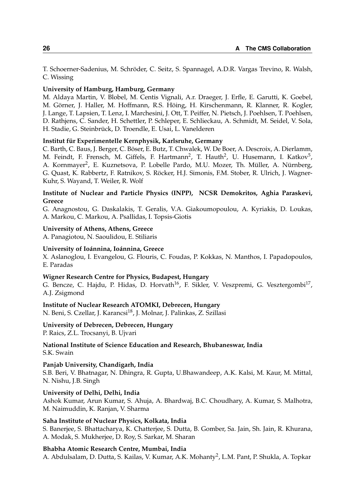T. Schoerner-Sadenius, M. Schroder, C. Seitz, S. Spannagel, A.D.R. Vargas Trevino, R. Walsh, ¨ C. Wissing

## **University of Hamburg, Hamburg, Germany**

M. Aldaya Martin, V. Blobel, M. Centis Vignali, A.r. Draeger, J. Erfle, E. Garutti, K. Goebel, M. Görner, J. Haller, M. Hoffmann, R.S. Höing, H. Kirschenmann, R. Klanner, R. Kogler, J. Lange, T. Lapsien, T. Lenz, I. Marchesini, J. Ott, T. Peiffer, N. Pietsch, J. Poehlsen, T. Poehlsen, D. Rathjens, C. Sander, H. Schettler, P. Schleper, E. Schlieckau, A. Schmidt, M. Seidel, V. Sola, H. Stadie, G. Steinbrück, D. Troendle, E. Usai, L. Vanelderen

## Institut für Experimentelle Kernphysik, Karlsruhe, Germany

C. Barth, C. Baus, J. Berger, C. Böser, E. Butz, T. Chwalek, W. De Boer, A. Descroix, A. Dierlamm, M. Feindt, F. Frensch, M. Giffels, F. Hartmann<sup>2</sup>, T. Hauth<sup>2</sup>, U. Husemann, I. Katkov<sup>5</sup>, A. Kornmayer<sup>2</sup>, E. Kuznetsova, P. Lobelle Pardo, M.U. Mozer, Th. Müller, A. Nürnberg, G. Quast, K. Rabbertz, F. Ratnikov, S. Rocker, H.J. Simonis, F.M. Stober, R. Ulrich, J. Wagner- ¨ Kuhr, S. Wayand, T. Weiler, R. Wolf

## **Institute of Nuclear and Particle Physics (INPP), NCSR Demokritos, Aghia Paraskevi, Greece**

G. Anagnostou, G. Daskalakis, T. Geralis, V.A. Giakoumopoulou, A. Kyriakis, D. Loukas, A. Markou, C. Markou, A. Psallidas, I. Topsis-Giotis

## **University of Athens, Athens, Greece**

A. Panagiotou, N. Saoulidou, E. Stiliaris

## **University of Ioánnina, Ioánnina, Greece**

X. Aslanoglou, I. Evangelou, G. Flouris, C. Foudas, P. Kokkas, N. Manthos, I. Papadopoulos, E. Paradas

## **Wigner Research Centre for Physics, Budapest, Hungary**

G. Bencze, C. Hajdu, P. Hidas, D. Horvath<sup>16</sup>, F. Sikler, V. Veszpremi, G. Vesztergombi<sup>17</sup>, A.J. Zsigmond

## **Institute of Nuclear Research ATOMKI, Debrecen, Hungary**

N. Beni, S. Czellar, J. Karancsi<sup>18</sup>, J. Molnar, J. Palinkas, Z. Szillasi

# **University of Debrecen, Debrecen, Hungary**

P. Raics, Z.L. Trocsanyi, B. Ujvari

## **National Institute of Science Education and Research, Bhubaneswar, India** S.K. Swain

## **Panjab University, Chandigarh, India**

S.B. Beri, V. Bhatnagar, N. Dhingra, R. Gupta, U.Bhawandeep, A.K. Kalsi, M. Kaur, M. Mittal, N. Nishu, J.B. Singh

## **University of Delhi, Delhi, India**

Ashok Kumar, Arun Kumar, S. Ahuja, A. Bhardwaj, B.C. Choudhary, A. Kumar, S. Malhotra, M. Naimuddin, K. Ranjan, V. Sharma

## **Saha Institute of Nuclear Physics, Kolkata, India**

S. Banerjee, S. Bhattacharya, K. Chatterjee, S. Dutta, B. Gomber, Sa. Jain, Sh. Jain, R. Khurana, A. Modak, S. Mukherjee, D. Roy, S. Sarkar, M. Sharan

## **Bhabha Atomic Research Centre, Mumbai, India**

A. Abdulsalam, D. Dutta, S. Kailas, V. Kumar, A.K. Mohanty<sup>2</sup>, L.M. Pant, P. Shukla, A. Topkar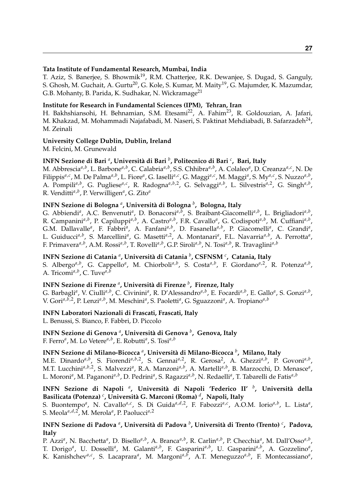#### **Tata Institute of Fundamental Research, Mumbai, India**

T. Aziz, S. Banerjee, S. Bhowmik<sup>19</sup>, R.M. Chatterjee, R.K. Dewanjee, S. Dugad, S. Ganguly, S. Ghosh, M. Guchait, A. Gurtu<sup>20</sup>, G. Kole, S. Kumar, M. Maity<sup>19</sup>, G. Majumder, K. Mazumdar, G.B. Mohanty, B. Parida, K. Sudhakar, N. Wickramage<sup>21</sup>

#### **Institute for Research in Fundamental Sciences (IPM), Tehran, Iran**

H. Bakhshiansohi, H. Behnamian, S.M. Etesami<sup>22</sup>, A. Fahim<sup>23</sup>, R. Goldouzian, A. Jafari, M. Khakzad, M. Mohammadi Najafabadi, M. Naseri, S. Paktinat Mehdiabadi, B. Safarzadeh<sup>24</sup>, M. Zeinali

#### **University College Dublin, Dublin, Ireland**

M. Felcini, M. Grunewald

## **INFN Sezione di Bari** *<sup>a</sup>* **, Universit`a di Bari** *<sup>b</sup>* **, Politecnico di Bari** *<sup>c</sup>* **, Bari, Italy**

M. Abbrescia*a*,*<sup>b</sup>* , L. Barbone*a*,*<sup>b</sup>* , C. Calabria*a*,*<sup>b</sup>* , S.S. Chhibra*a*,*<sup>b</sup>* , A. Colaleo*<sup>a</sup>* , D. Creanza*a*,*<sup>c</sup>* , N. De Filippis*a*,*<sup>c</sup>* , M. De Palma*a*,*<sup>b</sup>* , L. Fiore*<sup>a</sup>* , G. Iaselli*a*,*<sup>c</sup>* , G. Maggi*a*,*<sup>c</sup>* , M. Maggi*<sup>a</sup>* , S. My*a*,*<sup>c</sup>* , S. Nuzzo*a*,*<sup>b</sup>* , A. Pompili<sup>a,b</sup>, G. Pugliese<sup>a,c</sup>, R. Radogna<sup>a,b,2</sup>, G. Selvaggi<sup>a,b</sup>, L. Silvestris<sup>a,2</sup>, G. Singh<sup>a,b</sup>, R. Venditti*a*,*<sup>b</sup>* , P. Verwilligen*<sup>a</sup>* , G. Zito*<sup>a</sup>*

## **INFN Sezione di Bologna** *<sup>a</sup>* **, Universit`a di Bologna** *<sup>b</sup>* **, Bologna, Italy**

G. Abbiendi<sup>a</sup>, A.C. Benvenuti<sup>a</sup>, D. Bonacorsi<sup>a,*b*</sup>, S. Braibant-Giacomelli<sup>a,*b*</sup>, L. Brigliadori<sup>a,*b*</sup>, R. Campanini<sup>a,b</sup>, P. Capiluppi<sup>a,b</sup>, A. Castro<sup>a,b</sup>, F.R. Cavallo<sup>a</sup>, G. Codispoti<sup>a,b</sup>, M. Cuffiani<sup>a,b</sup>, G.M. Dallavalle<sup>a</sup>, F. Fabbri<sup>a</sup>, A. Fanfani<sup>a,b</sup>, D. Fasanella<sup>a,b</sup>, P. Giacomelli<sup>a</sup>, C. Grandi<sup>a</sup>, L. Guiducci<sup>a,b</sup>, S. Marcellini<sup>a</sup>, G. Masetti<sup>a,2</sup>, A. Montanari<sup>a</sup>, F.L. Navarria<sup>a,b</sup>, A. Perrotta<sup>a</sup>, F. Primavera*a*,*<sup>b</sup>* , A.M. Rossi*a*,*<sup>b</sup>* , T. Rovelli*a*,*<sup>b</sup>* , G.P. Siroli*a*,*<sup>b</sup>* , N. Tosi*a*,*<sup>b</sup>* , R. Travaglini*a*,*<sup>b</sup>*

## **INFN Sezione di Catania** *<sup>a</sup>* **, Universit`a di Catania** *<sup>b</sup>* **, CSFNSM** *<sup>c</sup>* **, Catania, Italy**

S. Albergo<sup>a,*b*</sup>, G. Cappello<sup>a</sup>, M. Chiorboli<sup>a,*b*</sup>, S. Costa<sup>a,*b*</sup>, F. Giordano<sup>a,2</sup>, R. Potenza<sup>a,*b*</sup>, A. Tricomi*a*,*<sup>b</sup>* , C. Tuve*a*,*<sup>b</sup>*

## **INFN Sezione di Firenze** *<sup>a</sup>* **, Universit`a di Firenze** *<sup>b</sup>* **, Firenze, Italy**

G. Barbagli*<sup>a</sup>* , V. Ciulli*a*,*<sup>b</sup>* , C. Civinini*<sup>a</sup>* , R. D'Alessandro*a*,*<sup>b</sup>* , E. Focardi*a*,*<sup>b</sup>* , E. Gallo*<sup>a</sup>* , S. Gonzi*a*,*<sup>b</sup>* , V. Gori*a*,*b*,2, P. Lenzi*a*,*<sup>b</sup>* , M. Meschini*<sup>a</sup>* , S. Paoletti*<sup>a</sup>* , G. Sguazzoni*<sup>a</sup>* , A. Tropiano*a*,*<sup>b</sup>*

#### **INFN Laboratori Nazionali di Frascati, Frascati, Italy**

L. Benussi, S. Bianco, F. Fabbri, D. Piccolo

**INFN Sezione di Genova** *<sup>a</sup>* **, Universit`a di Genova** *<sup>b</sup>* **, Genova, Italy** F. Ferro*<sup>a</sup>* , M. Lo Vetere*a*,*<sup>b</sup>* , E. Robutti*<sup>a</sup>* , S. Tosi*a*,*<sup>b</sup>*

## **INFN Sezione di Milano-Bicocca** *<sup>a</sup>* **, Universit`a di Milano-Bicocca** *<sup>b</sup>* **, Milano, Italy**

M.E. Dinardo<sup>a,*b*</sup>, S. Fiorendi<sup>a,*b*,2</sup>, S. Gennai<sup>a,2</sup>, R. Gerosa<sup>2</sup>, A. Ghezzi<sup>a,*b*</sup>, P. Govoni<sup>a,*b*</sup>, M.T. Lucchini<sup>a,b,2</sup>, S. Malvezzi<sup>a</sup>, R.A. Manzoni<sup>a,b</sup>, A. Martelli<sup>a,b</sup>, B. Marzocchi, D. Menasce<sup>a</sup>, L. Moroni<sup>a</sup>, M. Paganoni<sup>a,b</sup>, D. Pedrini<sup>a</sup>, S. Ragazzi<sup>a,b</sup>, N. Redaelli<sup>a</sup>, T. Tabarelli de Fatis<sup>a,b</sup>

## INFN Sezione di Napoli <sup>a</sup>, Università di Napoli 'Federico II' <sup>b</sup>, Università della **Basilicata (Potenza)** *<sup>c</sup>* **, Universit`a G. Marconi (Roma)** *<sup>d</sup>* **, Napoli, Italy**

S. Buontempo<sup>a</sup>, N. Cavallo<sup>a,c</sup>, S. Di Guida<sup>a,d,2</sup>, F. Fabozzi<sup>a,c</sup>, A.O.M. Iorio<sup>a,b</sup>, L. Lista<sup>a</sup>, S. Meola*a*,*d*,2, M. Merola*<sup>a</sup>* , P. Paolucci*a*,2

## INFN Sezione di Padova <sup>a</sup>, Università di Padova <sup>b</sup>, Università di Trento (Trento) <sup>c</sup>, Padova, **Italy**

P. Azzi<sup>a</sup>, N. Bacchetta<sup>a</sup>, D. Bisello<sup>a,b</sup>, A. Branca<sup>a,b</sup>, R. Carlin<sup>a,b</sup>, P. Checchia<sup>a</sup>, M. Dall'Osso<sup>a,b</sup>, T. Dorigo*<sup>a</sup>* , U. Dosselli*<sup>a</sup>* , M. Galanti*a*,*<sup>b</sup>* , F. Gasparini*a*,*<sup>b</sup>* , U. Gasparini*a*,*<sup>b</sup>* , A. Gozzelino*<sup>a</sup>* , K. Kanishchev<sup>a,c</sup>, S. Lacaprara<sup>a</sup>, M. Margoni<sup>a,b</sup>, A.T. Meneguzzo<sup>a,b</sup>, F. Montecassiano<sup>a</sup>,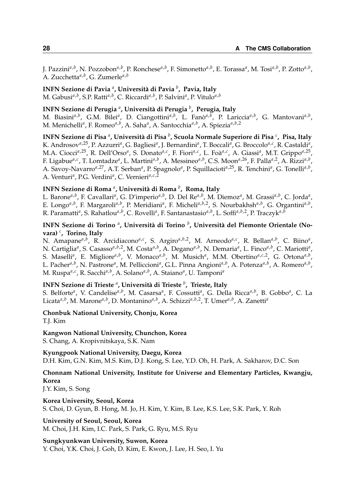J. Pazzini*a*,*<sup>b</sup>* , N. Pozzobon*a*,*<sup>b</sup>* , P. Ronchese*a*,*<sup>b</sup>* , F. Simonetto*a*,*<sup>b</sup>* , E. Torassa*<sup>a</sup>* , M. Tosi*a*,*<sup>b</sup>* , P. Zotto*a*,*<sup>b</sup>* , A. Zucchetta*a*,*<sup>b</sup>* , G. Zumerle*a*,*<sup>b</sup>*

## **INFN Sezione di Pavia** *<sup>a</sup>* **, Universit`a di Pavia** *<sup>b</sup>* **, Pavia, Italy**

M. Gabusi*a*,*<sup>b</sup>* , S.P. Ratti*a*,*<sup>b</sup>* , C. Riccardi*a*,*<sup>b</sup>* , P. Salvini*<sup>a</sup>* , P. Vitulo*a*,*<sup>b</sup>*

## **INFN Sezione di Perugia** *<sup>a</sup>* **, Universit`a di Perugia** *<sup>b</sup>* **, Perugia, Italy**

M. Biasini<sup>a,b</sup>, G.M. Bilei<sup>a</sup>, D. Ciangottini<sup>a,b</sup>, L. Fanò<sup>a,b</sup>, P. Lariccia<sup>a,b</sup>, G. Mantovani<sup>a,b</sup>, M. Menichelli*<sup>a</sup>* , F. Romeo*a*,*<sup>b</sup>* , A. Saha*<sup>a</sup>* , A. Santocchia*a*,*<sup>b</sup>* , A. Spiezia*a*,*b*,2

**INFN Sezione di Pisa** *<sup>a</sup>* **, Universit`a di Pisa** *<sup>b</sup>* **, Scuola Normale Superiore di Pisa** *<sup>c</sup>* **, Pisa, Italy** K. Androsov<sup>a,25</sup>, P. Azzurri<sup>a</sup>, G. Bagliesi<sup>a</sup>, J. Bernardini<sup>a</sup>, T. Boccali<sup>a</sup>, G. Broccolo<sup>a,c</sup>, R. Castaldi<sup>a</sup>, M.A. Ciocci<sup>a,25</sup>, R. Dell'Orso<sup>a</sup>, S. Donato<sup>a,*c*</sup>, F. Fiori<sup>a,*c*</sup>, L. Foà<sup>a,*c*</sup>, A. Giassi<sup>a</sup>, M.T. Grippo<sup>a,25</sup>, F. Ligabue*a*,*<sup>c</sup>* , T. Lomtadze*<sup>a</sup>* , L. Martini*a*,*<sup>b</sup>* , A. Messineo*a*,*<sup>b</sup>* , C.S. Moon*a*,26, F. Palla*a*,2, A. Rizzi*a*,*<sup>b</sup>* , A. Savoy-Navarro<sup>a,27</sup>, A.T. Serban<sup>a</sup>, P. Spagnolo<sup>a</sup>, P. Squillacioti<sup>a,25</sup>, R. Tenchini<sup>a</sup>, G. Tonelli<sup>a,b</sup>, A. Venturi*<sup>a</sup>* , P.G. Verdini*<sup>a</sup>* , C. Vernieri*a*,*c*,2

## **INFN Sezione di Roma** *<sup>a</sup>* **, Universit`a di Roma** *<sup>b</sup>* **, Roma, Italy**

L. Barone<sup>a,b</sup>, F. Cavallari<sup>a</sup>, G. D'imperio<sup>a,b</sup>, D. Del Re<sup>a,b</sup>, M. Diemoz<sup>a</sup>, M. Grassi<sup>a,b</sup>, C. Jorda<sup>a</sup>, E. Longo<sup>a,b</sup>, F. Margaroli<sup>a,b</sup>, P. Meridiani<sup>a</sup>, F. Micheli<sup>a,b,2</sup>, S. Nourbakhsh<sup>a,b</sup>, G. Organtini<sup>a,b</sup>, R. Paramatti*<sup>a</sup>* , S. Rahatlou*a*,*<sup>b</sup>* , C. Rovelli*<sup>a</sup>* , F. Santanastasio*a*,*<sup>b</sup>* , L. Soffi*a*,*b*,2, P. Traczyk*a*,*<sup>b</sup>*

## INFN Sezione di Torino <sup>a</sup>, Università di Torino <sup>b</sup>, Università del Piemonte Orientale (No**vara)** *<sup>c</sup>* **, Torino, Italy**

N. Amapane*a*,*<sup>b</sup>* , R. Arcidiacono*a*,*<sup>c</sup>* , S. Argiro*a*,*b*,2, M. Arneodo*a*,*<sup>c</sup>* , R. Bellan*a*,*<sup>b</sup>* , C. Biino*<sup>a</sup>* , N. Cartiglia*<sup>a</sup>* , S. Casasso*a*,*b*,2, M. Costa*a*,*<sup>b</sup>* , A. Degano*a*,*<sup>b</sup>* , N. Demaria*<sup>a</sup>* , L. Finco*a*,*<sup>b</sup>* , C. Mariotti*<sup>a</sup>* , S. Maselli<sup>a</sup>, E. Migliore<sup>a,b</sup>, V. Monaco<sup>a,b</sup>, M. Musich<sup>a</sup>, M.M. Obertino<sup>a,c,2</sup>, G. Ortona<sup>a,b</sup>, L. Pacher<sup>a,*b*</sup>, N. Pastrone<sup>a</sup>, M. Pelliccioni<sup>a</sup>, G.L. Pinna Angioni<sup>a,*b*</sup>, A. Potenza<sup>a,*b*</sup>, A. Romero<sup>a,*b*</sup>, M. Ruspa*a*,*<sup>c</sup>* , R. Sacchi*a*,*<sup>b</sup>* , A. Solano*a*,*<sup>b</sup>* , A. Staiano*<sup>a</sup>* , U. Tamponi*<sup>a</sup>*

## **INFN Sezione di Trieste** *<sup>a</sup>* **, Universit`a di Trieste** *<sup>b</sup>* **, Trieste, Italy**

S. Belforte*<sup>a</sup>* , V. Candelise*a*,*<sup>b</sup>* , M. Casarsa*<sup>a</sup>* , F. Cossutti*<sup>a</sup>* , G. Della Ricca*a*,*<sup>b</sup>* , B. Gobbo*<sup>a</sup>* , C. La Licata*a*,*<sup>b</sup>* , M. Marone*a*,*<sup>b</sup>* , D. Montanino*a*,*<sup>b</sup>* , A. Schizzi*a*,*b*,2, T. Umer*a*,*<sup>b</sup>* , A. Zanetti*<sup>a</sup>*

**Chonbuk National University, Chonju, Korea** T.J. Kim

**Kangwon National University, Chunchon, Korea** S. Chang, A. Kropivnitskaya, S.K. Nam

**Kyungpook National University, Daegu, Korea** D.H. Kim, G.N. Kim, M.S. Kim, D.J. Kong, S. Lee, Y.D. Oh, H. Park, A. Sakharov, D.C. Son

## **Chonnam National University, Institute for Universe and Elementary Particles, Kwangju, Korea**

J.Y. Kim, S. Song

**Korea University, Seoul, Korea** S. Choi, D. Gyun, B. Hong, M. Jo, H. Kim, Y. Kim, B. Lee, K.S. Lee, S.K. Park, Y. Roh

**University of Seoul, Seoul, Korea** M. Choi, J.H. Kim, I.C. Park, S. Park, G. Ryu, M.S. Ryu

**Sungkyunkwan University, Suwon, Korea** Y. Choi, Y.K. Choi, J. Goh, D. Kim, E. Kwon, J. Lee, H. Seo, I. Yu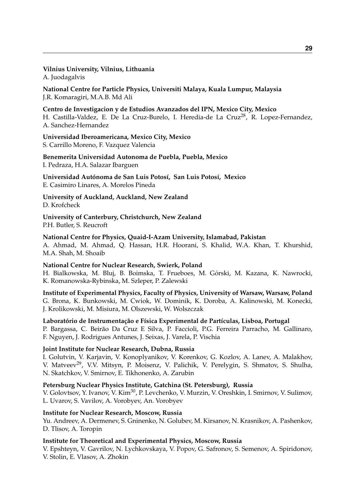**Vilnius University, Vilnius, Lithuania** A. Juodagalvis

**National Centre for Particle Physics, Universiti Malaya, Kuala Lumpur, Malaysia** J.R. Komaragiri, M.A.B. Md Ali

## **Centro de Investigacion y de Estudios Avanzados del IPN, Mexico City, Mexico**

H. Castilla-Valdez, E. De La Cruz-Burelo, I. Heredia-de La Cruz<sup>28</sup>, R. Lopez-Fernandez, A. Sanchez-Hernandez

# **Universidad Iberoamericana, Mexico City, Mexico**

S. Carrillo Moreno, F. Vazquez Valencia

## **Benemerita Universidad Autonoma de Puebla, Puebla, Mexico** I. Pedraza, H.A. Salazar Ibarguen

**Universidad Autónoma de San Luis Potosí, San Luis Potosí, Mexico** E. Casimiro Linares, A. Morelos Pineda

## **University of Auckland, Auckland, New Zealand** D. Krofcheck

**University of Canterbury, Christchurch, New Zealand** P.H. Butler, S. Reucroft

## **National Centre for Physics, Quaid-I-Azam University, Islamabad, Pakistan**

A. Ahmad, M. Ahmad, Q. Hassan, H.R. Hoorani, S. Khalid, W.A. Khan, T. Khurshid, M.A. Shah, M. Shoaib

## **National Centre for Nuclear Research, Swierk, Poland**

H. Bialkowska, M. Bluj, B. Boimska, T. Frueboes, M. Górski, M. Kazana, K. Nawrocki, K. Romanowska-Rybinska, M. Szleper, P. Zalewski

## **Institute of Experimental Physics, Faculty of Physics, University of Warsaw, Warsaw, Poland** G. Brona, K. Bunkowski, M. Cwiok, W. Dominik, K. Doroba, A. Kalinowski, M. Konecki, J. Krolikowski, M. Misiura, M. Olszewski, W. Wolszczak

Laboratório de Instrumentação e Física Experimental de Partículas, Lisboa, Portugal P. Bargassa, C. Beirão Da Cruz E Silva, P. Faccioli, P.G. Ferreira Parracho, M. Gallinaro, F. Nguyen, J. Rodrigues Antunes, J. Seixas, J. Varela, P. Vischia

## **Joint Institute for Nuclear Research, Dubna, Russia**

I. Golutvin, V. Karjavin, V. Konoplyanikov, V. Korenkov, G. Kozlov, A. Lanev, A. Malakhov, V. Matveev<sup>29</sup>, V.V. Mitsyn, P. Moisenz, V. Palichik, V. Perelygin, S. Shmatov, S. Shulha, N. Skatchkov, V. Smirnov, E. Tikhonenko, A. Zarubin

## **Petersburg Nuclear Physics Institute, Gatchina (St. Petersburg), Russia**

V. Golovtsov, Y. Ivanov, V. Kim<sup>30</sup>, P. Levchenko, V. Murzin, V. Oreshkin, I. Smirnov, V. Sulimov, L. Uvarov, S. Vavilov, A. Vorobyev, An. Vorobyev

## **Institute for Nuclear Research, Moscow, Russia**

Yu. Andreev, A. Dermenev, S. Gninenko, N. Golubev, M. Kirsanov, N. Krasnikov, A. Pashenkov, D. Tlisov, A. Toropin

## **Institute for Theoretical and Experimental Physics, Moscow, Russia**

V. Epshteyn, V. Gavrilov, N. Lychkovskaya, V. Popov, G. Safronov, S. Semenov, A. Spiridonov, V. Stolin, E. Vlasov, A. Zhokin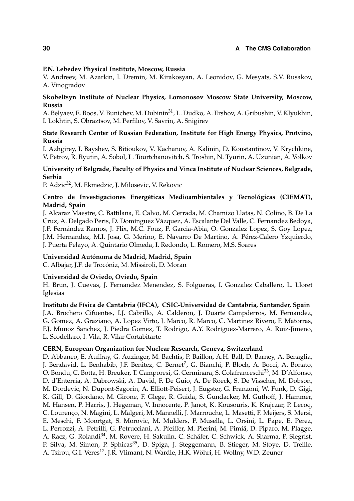#### **P.N. Lebedev Physical Institute, Moscow, Russia**

V. Andreev, M. Azarkin, I. Dremin, M. Kirakosyan, A. Leonidov, G. Mesyats, S.V. Rusakov, A. Vinogradov

## **Skobeltsyn Institute of Nuclear Physics, Lomonosov Moscow State University, Moscow, Russia**

A. Belyaev, E. Boos, V. Bunichev, M. Dubinin<sup>31</sup>, L. Dudko, A. Ershov, A. Gribushin, V. Klyukhin, I. Lokhtin, S. Obraztsov, M. Perfilov, V. Savrin, A. Snigirev

## **State Research Center of Russian Federation, Institute for High Energy Physics, Protvino, Russia**

I. Azhgirey, I. Bayshev, S. Bitioukov, V. Kachanov, A. Kalinin, D. Konstantinov, V. Krychkine, V. Petrov, R. Ryutin, A. Sobol, L. Tourtchanovitch, S. Troshin, N. Tyurin, A. Uzunian, A. Volkov

## **University of Belgrade, Faculty of Physics and Vinca Institute of Nuclear Sciences, Belgrade, Serbia**

P. Adzic<sup>32</sup>, M. Ekmedzic, J. Milosevic, V. Rekovic

## Centro de Investigaciones Energéticas Medioambientales y Tecnológicas (CIEMAT), **Madrid, Spain**

J. Alcaraz Maestre, C. Battilana, E. Calvo, M. Cerrada, M. Chamizo Llatas, N. Colino, B. De La Cruz, A. Delgado Peris, D. Domínguez Vázquez, A. Escalante Del Valle, C. Fernandez Bedoya, J.P. Fernández Ramos, J. Flix, M.C. Fouz, P. Garcia-Abia, O. Gonzalez Lopez, S. Goy Lopez, J.M. Hernandez, M.I. Josa, G. Merino, E. Navarro De Martino, A. Pérez-Calero Yzquierdo, J. Puerta Pelayo, A. Quintario Olmeda, I. Redondo, L. Romero, M.S. Soares

#### **Universidad Autónoma de Madrid, Madrid, Spain**

C. Albajar, J.F. de Trocóniz, M. Missiroli, D. Moran

#### **Universidad de Oviedo, Oviedo, Spain**

H. Brun, J. Cuevas, J. Fernandez Menendez, S. Folgueras, I. Gonzalez Caballero, L. Lloret Iglesias

Instituto de Física de Cantabria (IFCA), CSIC-Universidad de Cantabria, Santander, Spain J.A. Brochero Cifuentes, I.J. Cabrillo, A. Calderon, J. Duarte Campderros, M. Fernandez, G. Gomez, A. Graziano, A. Lopez Virto, J. Marco, R. Marco, C. Martinez Rivero, F. Matorras, F.J. Munoz Sanchez, J. Piedra Gomez, T. Rodrigo, A.Y. Rodríguez-Marrero, A. Ruiz-Jimeno, L. Scodellaro, I. Vila, R. Vilar Cortabitarte

#### **CERN, European Organization for Nuclear Research, Geneva, Switzerland**

D. Abbaneo, E. Auffray, G. Auzinger, M. Bachtis, P. Baillon, A.H. Ball, D. Barney, A. Benaglia, J. Bendavid, L. Benhabib, J.F. Benitez, C. Bernet<sup>7</sup>, G. Bianchi, P. Bloch, A. Bocci, A. Bonato, O. Bondu, C. Botta, H. Breuker, T. Camporesi, G. Cerminara, S. Colafranceschi<sup>33</sup>, M. D'Alfonso, D. d'Enterria, A. Dabrowski, A. David, F. De Guio, A. De Roeck, S. De Visscher, M. Dobson, M. Dordevic, N. Dupont-Sagorin, A. Elliott-Peisert, J. Eugster, G. Franzoni, W. Funk, D. Gigi, K. Gill, D. Giordano, M. Girone, F. Glege, R. Guida, S. Gundacker, M. Guthoff, J. Hammer, M. Hansen, P. Harris, J. Hegeman, V. Innocente, P. Janot, K. Kousouris, K. Krajczar, P. Lecoq, C. Lourenço, N. Magini, L. Malgeri, M. Mannelli, J. Marrouche, L. Masetti, F. Meijers, S. Mersi, E. Meschi, F. Moortgat, S. Morovic, M. Mulders, P. Musella, L. Orsini, L. Pape, E. Perez, L. Perrozzi, A. Petrilli, G. Petrucciani, A. Pfeiffer, M. Pierini, M. Pimia, D. Piparo, M. Plagge, ¨ A. Racz, G. Rolandi<sup>34</sup>, M. Rovere, H. Sakulin, C. Schäfer, C. Schwick, A. Sharma, P. Siegrist, P. Silva, M. Simon, P. Sphicas<sup>35</sup>, D. Spiga, J. Steggemann, B. Stieger, M. Stoye, D. Treille, A. Tsirou, G.I. Veres<sup>17</sup>, J.R. Vlimant, N. Wardle, H.K. Wöhri, H. Wollny, W.D. Zeuner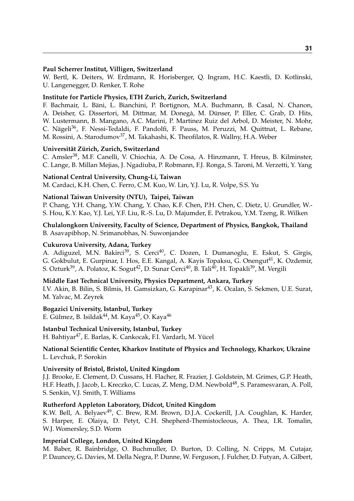#### **Paul Scherrer Institut, Villigen, Switzerland**

W. Bertl, K. Deiters, W. Erdmann, R. Horisberger, Q. Ingram, H.C. Kaestli, D. Kotlinski, U. Langenegger, D. Renker, T. Rohe

#### **Institute for Particle Physics, ETH Zurich, Zurich, Switzerland**

F. Bachmair, L. Bäni, L. Bianchini, P. Bortignon, M.A. Buchmann, B. Casal, N. Chanon, A. Deisher, G. Dissertori, M. Dittmar, M. Donegà, M. Dünser, P. Eller, C. Grab, D. Hits, W. Lustermann, B. Mangano, A.C. Marini, P. Martinez Ruiz del Arbol, D. Meister, N. Mohr, C. Nägeli<sup>36</sup>, F. Nessi-Tedaldi, F. Pandolfi, F. Pauss, M. Peruzzi, M. Quittnat, L. Rebane, M. Rossini, A. Starodumov<sup>37</sup>, M. Takahashi, K. Theofilatos, R. Wallny, H.A. Weber

## Universität Zürich, Zurich, Switzerland

C. Amsler<sup>38</sup>, M.F. Canelli, V. Chiochia, A. De Cosa, A. Hinzmann, T. Hreus, B. Kilminster, C. Lange, B. Millan Mejias, J. Ngadiuba, P. Robmann, F.J. Ronga, S. Taroni, M. Verzetti, Y. Yang

## **National Central University, Chung-Li, Taiwan**

M. Cardaci, K.H. Chen, C. Ferro, C.M. Kuo, W. Lin, Y.J. Lu, R. Volpe, S.S. Yu

#### **National Taiwan University (NTU), Taipei, Taiwan**

P. Chang, Y.H. Chang, Y.W. Chang, Y. Chao, K.F. Chen, P.H. Chen, C. Dietz, U. Grundler, W.- S. Hou, K.Y. Kao, Y.J. Lei, Y.F. Liu, R.-S. Lu, D. Majumder, E. Petrakou, Y.M. Tzeng, R. Wilken

**Chulalongkorn University, Faculty of Science, Department of Physics, Bangkok, Thailand** B. Asavapibhop, N. Srimanobhas, N. Suwonjandee

#### **Cukurova University, Adana, Turkey**

A. Adiguzel, M.N. Bakirci<sup>39</sup>, S. Cerci<sup>40</sup>, C. Dozen, I. Dumanoglu, E. Eskut, S. Girgis, G. Gokbulut, E. Gurpinar, I. Hos, E.E. Kangal, A. Kayis Topaksu, G. Onengut<sup>41</sup>, K. Ozdemir, S. Ozturk<sup>39</sup>, A. Polatoz, K. Sogut<sup>42</sup>, D. Sunar Cerci<sup>40</sup>, B. Tali<sup>40</sup>, H. Topakli<sup>39</sup>, M. Vergili

## **Middle East Technical University, Physics Department, Ankara, Turkey**

I.V. Akin, B. Bilin, S. Bilmis, H. Gamsizkan, G. Karapinar<sup>43</sup>, K. Ocalan, S. Sekmen, U.E. Surat, M. Yalvac, M. Zeyrek

## **Bogazici University, Istanbul, Turkey**

E. Gülmez, B. Isildak<sup>44</sup>, M. Kaya<sup>45</sup>, O. Kaya<sup>46</sup>

#### **Istanbul Technical University, Istanbul, Turkey** H. Bahtiyar<sup>47</sup>, E. Barlas, K. Cankocak, F.I. Vardarlı, M. Yücel

**National Scientific Center, Kharkov Institute of Physics and Technology, Kharkov, Ukraine** L. Levchuk, P. Sorokin

#### **University of Bristol, Bristol, United Kingdom**

J.J. Brooke, E. Clement, D. Cussans, H. Flacher, R. Frazier, J. Goldstein, M. Grimes, G.P. Heath, H.F. Heath, J. Jacob, L. Kreczko, C. Lucas, Z. Meng, D.M. Newbold<sup>48</sup>, S. Paramesvaran, A. Poll, S. Senkin, V.J. Smith, T. Williams

#### **Rutherford Appleton Laboratory, Didcot, United Kingdom**

K.W. Bell, A. Belyaev<sup>49</sup>, C. Brew, R.M. Brown, D.J.A. Cockerill, J.A. Coughlan, K. Harder, S. Harper, E. Olaiya, D. Petyt, C.H. Shepherd-Themistocleous, A. Thea, I.R. Tomalin, W.J. Womersley, S.D. Worm

#### **Imperial College, London, United Kingdom**

M. Baber, R. Bainbridge, O. Buchmuller, D. Burton, D. Colling, N. Cripps, M. Cutajar, P. Dauncey, G. Davies, M. Della Negra, P. Dunne, W. Ferguson, J. Fulcher, D. Futyan, A. Gilbert,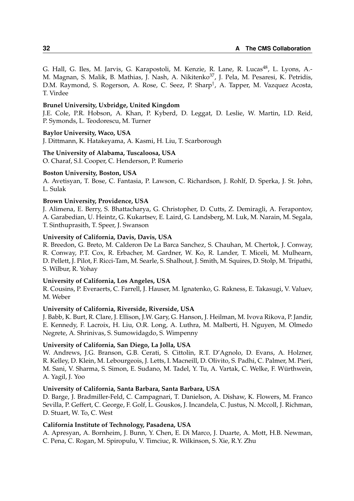G. Hall, G. Iles, M. Jarvis, G. Karapostoli, M. Kenzie, R. Lane, R. Lucas<sup>48</sup>, L. Lyons, A.-M. Magnan, S. Malik, B. Mathias, J. Nash, A. Nikitenko<sup>37</sup>, J. Pela, M. Pesaresi, K. Petridis, D.M. Raymond, S. Rogerson, A. Rose, C. Seez, P. Sharp<sup>†</sup>, A. Tapper, M. Vazquez Acosta, T. Virdee

#### **Brunel University, Uxbridge, United Kingdom**

J.E. Cole, P.R. Hobson, A. Khan, P. Kyberd, D. Leggat, D. Leslie, W. Martin, I.D. Reid, P. Symonds, L. Teodorescu, M. Turner

## **Baylor University, Waco, USA**

J. Dittmann, K. Hatakeyama, A. Kasmi, H. Liu, T. Scarborough

## **The University of Alabama, Tuscaloosa, USA**

O. Charaf, S.I. Cooper, C. Henderson, P. Rumerio

#### **Boston University, Boston, USA**

A. Avetisyan, T. Bose, C. Fantasia, P. Lawson, C. Richardson, J. Rohlf, D. Sperka, J. St. John, L. Sulak

## **Brown University, Providence, USA**

J. Alimena, E. Berry, S. Bhattacharya, G. Christopher, D. Cutts, Z. Demiragli, A. Ferapontov, A. Garabedian, U. Heintz, G. Kukartsev, E. Laird, G. Landsberg, M. Luk, M. Narain, M. Segala, T. Sinthuprasith, T. Speer, J. Swanson

#### **University of California, Davis, Davis, USA**

R. Breedon, G. Breto, M. Calderon De La Barca Sanchez, S. Chauhan, M. Chertok, J. Conway, R. Conway, P.T. Cox, R. Erbacher, M. Gardner, W. Ko, R. Lander, T. Miceli, M. Mulhearn, D. Pellett, J. Pilot, F. Ricci-Tam, M. Searle, S. Shalhout, J. Smith, M. Squires, D. Stolp, M. Tripathi, S. Wilbur, R. Yohay

## **University of California, Los Angeles, USA**

R. Cousins, P. Everaerts, C. Farrell, J. Hauser, M. Ignatenko, G. Rakness, E. Takasugi, V. Valuev, M. Weber

## **University of California, Riverside, Riverside, USA**

J. Babb, K. Burt, R. Clare, J. Ellison, J.W. Gary, G. Hanson, J. Heilman, M. Ivova Rikova, P. Jandir, E. Kennedy, F. Lacroix, H. Liu, O.R. Long, A. Luthra, M. Malberti, H. Nguyen, M. Olmedo Negrete, A. Shrinivas, S. Sumowidagdo, S. Wimpenny

## **University of California, San Diego, La Jolla, USA**

W. Andrews, J.G. Branson, G.B. Cerati, S. Cittolin, R.T. D'Agnolo, D. Evans, A. Holzner, R. Kelley, D. Klein, M. Lebourgeois, J. Letts, I. Macneill, D. Olivito, S. Padhi, C. Palmer, M. Pieri, M. Sani, V. Sharma, S. Simon, E. Sudano, M. Tadel, Y. Tu, A. Vartak, C. Welke, F. Wurthwein, ¨ A. Yagil, J. Yoo

#### **University of California, Santa Barbara, Santa Barbara, USA**

D. Barge, J. Bradmiller-Feld, C. Campagnari, T. Danielson, A. Dishaw, K. Flowers, M. Franco Sevilla, P. Geffert, C. George, F. Golf, L. Gouskos, J. Incandela, C. Justus, N. Mccoll, J. Richman, D. Stuart, W. To, C. West

#### **California Institute of Technology, Pasadena, USA**

A. Apresyan, A. Bornheim, J. Bunn, Y. Chen, E. Di Marco, J. Duarte, A. Mott, H.B. Newman, C. Pena, C. Rogan, M. Spiropulu, V. Timciuc, R. Wilkinson, S. Xie, R.Y. Zhu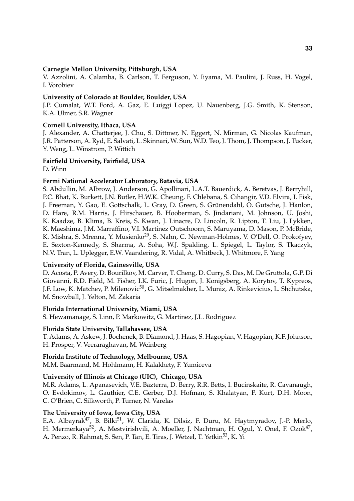## **Carnegie Mellon University, Pittsburgh, USA**

V. Azzolini, A. Calamba, B. Carlson, T. Ferguson, Y. Iiyama, M. Paulini, J. Russ, H. Vogel, I. Vorobiev

## **University of Colorado at Boulder, Boulder, USA**

J.P. Cumalat, W.T. Ford, A. Gaz, E. Luiggi Lopez, U. Nauenberg, J.G. Smith, K. Stenson, K.A. Ulmer, S.R. Wagner

#### **Cornell University, Ithaca, USA**

J. Alexander, A. Chatterjee, J. Chu, S. Dittmer, N. Eggert, N. Mirman, G. Nicolas Kaufman, J.R. Patterson, A. Ryd, E. Salvati, L. Skinnari, W. Sun, W.D. Teo, J. Thom, J. Thompson, J. Tucker, Y. Weng, L. Winstrom, P. Wittich

## **Fairfield University, Fairfield, USA**

D. Winn

## **Fermi National Accelerator Laboratory, Batavia, USA**

S. Abdullin, M. Albrow, J. Anderson, G. Apollinari, L.A.T. Bauerdick, A. Beretvas, J. Berryhill, P.C. Bhat, K. Burkett, J.N. Butler, H.W.K. Cheung, F. Chlebana, S. Cihangir, V.D. Elvira, I. Fisk, J. Freeman, Y. Gao, E. Gottschalk, L. Gray, D. Green, S. Grünendahl, O. Gutsche, J. Hanlon, D. Hare, R.M. Harris, J. Hirschauer, B. Hooberman, S. Jindariani, M. Johnson, U. Joshi, K. Kaadze, B. Klima, B. Kreis, S. Kwan, J. Linacre, D. Lincoln, R. Lipton, T. Liu, J. Lykken, K. Maeshima, J.M. Marraffino, V.I. Martinez Outschoorn, S. Maruyama, D. Mason, P. McBride, K. Mishra, S. Mrenna, Y. Musienko<sup>29</sup>, S. Nahn, C. Newman-Holmes, V. O'Dell, O. Prokofyev, E. Sexton-Kennedy, S. Sharma, A. Soha, W.J. Spalding, L. Spiegel, L. Taylor, S. Tkaczyk, N.V. Tran, L. Uplegger, E.W. Vaandering, R. Vidal, A. Whitbeck, J. Whitmore, F. Yang

#### **University of Florida, Gainesville, USA**

D. Acosta, P. Avery, D. Bourilkov, M. Carver, T. Cheng, D. Curry, S. Das, M. De Gruttola, G.P. Di Giovanni, R.D. Field, M. Fisher, I.K. Furic, J. Hugon, J. Konigsberg, A. Korytov, T. Kypreos, J.F. Low, K. Matchev, P. Milenovic<sup>50</sup>, G. Mitselmakher, L. Muniz, A. Rinkevicius, L. Shchutska, M. Snowball, J. Yelton, M. Zakaria

#### **Florida International University, Miami, USA**

S. Hewamanage, S. Linn, P. Markowitz, G. Martinez, J.L. Rodriguez

#### **Florida State University, Tallahassee, USA**

T. Adams, A. Askew, J. Bochenek, B. Diamond, J. Haas, S. Hagopian, V. Hagopian, K.F. Johnson, H. Prosper, V. Veeraraghavan, M. Weinberg

**Florida Institute of Technology, Melbourne, USA** M.M. Baarmand, M. Hohlmann, H. Kalakhety, F. Yumiceva

#### **University of Illinois at Chicago (UIC), Chicago, USA**

M.R. Adams, L. Apanasevich, V.E. Bazterra, D. Berry, R.R. Betts, I. Bucinskaite, R. Cavanaugh, O. Evdokimov, L. Gauthier, C.E. Gerber, D.J. Hofman, S. Khalatyan, P. Kurt, D.H. Moon, C. O'Brien, C. Silkworth, P. Turner, N. Varelas

#### **The University of Iowa, Iowa City, USA**

E.A. Albayrak<sup>47</sup>, B. Bilki<sup>51</sup>, W. Clarida, K. Dilsiz, F. Duru, M. Haytmyradov, J.-P. Merlo, H. Mermerkaya<sup>52</sup>, A. Mestvirishvili, A. Moeller, J. Nachtman, H. Ogul, Y. Onel, F. Ozok<sup>47</sup>, A. Penzo, R. Rahmat, S. Sen, P. Tan, E. Tiras, J. Wetzel, T. Yetkin<sup>53</sup>, K. Yi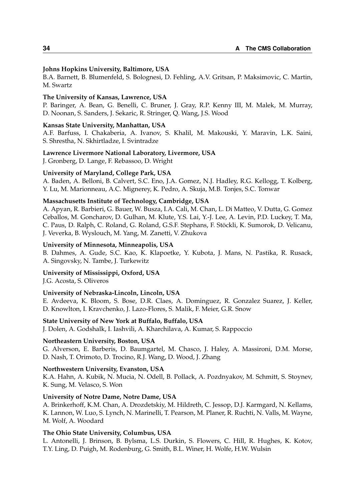#### **Johns Hopkins University, Baltimore, USA**

B.A. Barnett, B. Blumenfeld, S. Bolognesi, D. Fehling, A.V. Gritsan, P. Maksimovic, C. Martin, M. Swartz

#### **The University of Kansas, Lawrence, USA**

P. Baringer, A. Bean, G. Benelli, C. Bruner, J. Gray, R.P. Kenny III, M. Malek, M. Murray, D. Noonan, S. Sanders, J. Sekaric, R. Stringer, Q. Wang, J.S. Wood

#### **Kansas State University, Manhattan, USA**

A.F. Barfuss, I. Chakaberia, A. Ivanov, S. Khalil, M. Makouski, Y. Maravin, L.K. Saini, S. Shrestha, N. Skhirtladze, I. Svintradze

#### **Lawrence Livermore National Laboratory, Livermore, USA**

J. Gronberg, D. Lange, F. Rebassoo, D. Wright

## **University of Maryland, College Park, USA**

A. Baden, A. Belloni, B. Calvert, S.C. Eno, J.A. Gomez, N.J. Hadley, R.G. Kellogg, T. Kolberg, Y. Lu, M. Marionneau, A.C. Mignerey, K. Pedro, A. Skuja, M.B. Tonjes, S.C. Tonwar

#### **Massachusetts Institute of Technology, Cambridge, USA**

A. Apyan, R. Barbieri, G. Bauer, W. Busza, I.A. Cali, M. Chan, L. Di Matteo, V. Dutta, G. Gomez Ceballos, M. Goncharov, D. Gulhan, M. Klute, Y.S. Lai, Y.-J. Lee, A. Levin, P.D. Luckey, T. Ma, C. Paus, D. Ralph, C. Roland, G. Roland, G.S.F. Stephans, F. Stockli, K. Sumorok, D. Velicanu, ¨ J. Veverka, B. Wyslouch, M. Yang, M. Zanetti, V. Zhukova

#### **University of Minnesota, Minneapolis, USA**

B. Dahmes, A. Gude, S.C. Kao, K. Klapoetke, Y. Kubota, J. Mans, N. Pastika, R. Rusack, A. Singovsky, N. Tambe, J. Turkewitz

#### **University of Mississippi, Oxford, USA**

J.G. Acosta, S. Oliveros

## **University of Nebraska-Lincoln, Lincoln, USA**

E. Avdeeva, K. Bloom, S. Bose, D.R. Claes, A. Dominguez, R. Gonzalez Suarez, J. Keller, D. Knowlton, I. Kravchenko, J. Lazo-Flores, S. Malik, F. Meier, G.R. Snow

#### **State University of New York at Buffalo, Buffalo, USA**

J. Dolen, A. Godshalk, I. Iashvili, A. Kharchilava, A. Kumar, S. Rappoccio

#### **Northeastern University, Boston, USA**

G. Alverson, E. Barberis, D. Baumgartel, M. Chasco, J. Haley, A. Massironi, D.M. Morse, D. Nash, T. Orimoto, D. Trocino, R.J. Wang, D. Wood, J. Zhang

#### **Northwestern University, Evanston, USA**

K.A. Hahn, A. Kubik, N. Mucia, N. Odell, B. Pollack, A. Pozdnyakov, M. Schmitt, S. Stoynev, K. Sung, M. Velasco, S. Won

#### **University of Notre Dame, Notre Dame, USA**

A. Brinkerhoff, K.M. Chan, A. Drozdetskiy, M. Hildreth, C. Jessop, D.J. Karmgard, N. Kellams, K. Lannon, W. Luo, S. Lynch, N. Marinelli, T. Pearson, M. Planer, R. Ruchti, N. Valls, M. Wayne, M. Wolf, A. Woodard

## **The Ohio State University, Columbus, USA**

L. Antonelli, J. Brinson, B. Bylsma, L.S. Durkin, S. Flowers, C. Hill, R. Hughes, K. Kotov, T.Y. Ling, D. Puigh, M. Rodenburg, G. Smith, B.L. Winer, H. Wolfe, H.W. Wulsin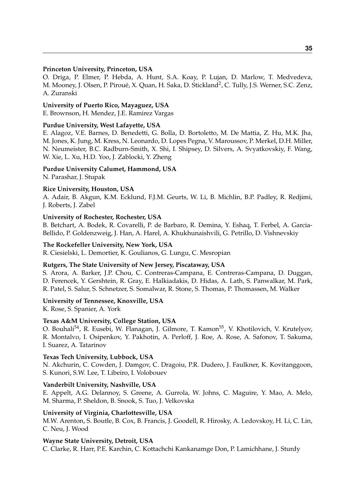#### **Princeton University, Princeton, USA**

O. Driga, P. Elmer, P. Hebda, A. Hunt, S.A. Koay, P. Lujan, D. Marlow, T. Medvedeva, M. Mooney, J. Olsen, P. Piroué, X. Quan, H. Saka, D. Stickland<sup>2</sup>, C. Tully, J.S. Werner, S.C. Zenz, A. Zuranski

#### **University of Puerto Rico, Mayaguez, USA**

E. Brownson, H. Mendez, J.E. Ramirez Vargas

#### **Purdue University, West Lafayette, USA**

E. Alagoz, V.E. Barnes, D. Benedetti, G. Bolla, D. Bortoletto, M. De Mattia, Z. Hu, M.K. Jha, M. Jones, K. Jung, M. Kress, N. Leonardo, D. Lopes Pegna, V. Maroussov, P. Merkel, D.H. Miller, N. Neumeister, B.C. Radburn-Smith, X. Shi, I. Shipsey, D. Silvers, A. Svyatkovskiy, F. Wang, W. Xie, L. Xu, H.D. Yoo, J. Zablocki, Y. Zheng

#### **Purdue University Calumet, Hammond, USA**

N. Parashar, J. Stupak

#### **Rice University, Houston, USA**

A. Adair, B. Akgun, K.M. Ecklund, F.J.M. Geurts, W. Li, B. Michlin, B.P. Padley, R. Redjimi, J. Roberts, J. Zabel

#### **University of Rochester, Rochester, USA**

B. Betchart, A. Bodek, R. Covarelli, P. de Barbaro, R. Demina, Y. Eshaq, T. Ferbel, A. Garcia-Bellido, P. Goldenzweig, J. Han, A. Harel, A. Khukhunaishvili, G. Petrillo, D. Vishnevskiy

#### **The Rockefeller University, New York, USA**

R. Ciesielski, L. Demortier, K. Goulianos, G. Lungu, C. Mesropian

## **Rutgers, The State University of New Jersey, Piscataway, USA**

S. Arora, A. Barker, J.P. Chou, C. Contreras-Campana, E. Contreras-Campana, D. Duggan, D. Ferencek, Y. Gershtein, R. Gray, E. Halkiadakis, D. Hidas, A. Lath, S. Panwalkar, M. Park, R. Patel, S. Salur, S. Schnetzer, S. Somalwar, R. Stone, S. Thomas, P. Thomassen, M. Walker

## **University of Tennessee, Knoxville, USA**

K. Rose, S. Spanier, A. York

## **Texas A&M University, College Station, USA**

O. Bouhali<sup>54</sup>, R. Eusebi, W. Flanagan, J. Gilmore, T. Kamon<sup>55</sup>, V. Khotilovich, V. Krutelyov, R. Montalvo, I. Osipenkov, Y. Pakhotin, A. Perloff, J. Roe, A. Rose, A. Safonov, T. Sakuma, I. Suarez, A. Tatarinov

## **Texas Tech University, Lubbock, USA**

N. Akchurin, C. Cowden, J. Damgov, C. Dragoiu, P.R. Dudero, J. Faulkner, K. Kovitanggoon, S. Kunori, S.W. Lee, T. Libeiro, I. Volobouev

## **Vanderbilt University, Nashville, USA**

E. Appelt, A.G. Delannoy, S. Greene, A. Gurrola, W. Johns, C. Maguire, Y. Mao, A. Melo, M. Sharma, P. Sheldon, B. Snook, S. Tuo, J. Velkovska

## **University of Virginia, Charlottesville, USA**

M.W. Arenton, S. Boutle, B. Cox, B. Francis, J. Goodell, R. Hirosky, A. Ledovskoy, H. Li, C. Lin, C. Neu, J. Wood

## **Wayne State University, Detroit, USA**

C. Clarke, R. Harr, P.E. Karchin, C. Kottachchi Kankanamge Don, P. Lamichhane, J. Sturdy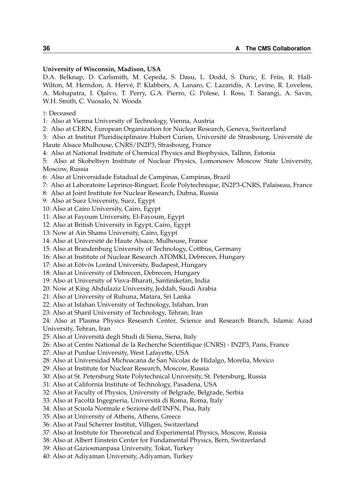#### **University of Wisconsin, Madison, USA**

D.A. Belknap, D. Carlsmith, M. Cepeda, S. Dasu, L. Dodd, S. Duric, E. Friis, R. Hall-Wilton, M. Herndon, A. Hervé, P. Klabbers, A. Lanaro, C. Lazaridis, A. Levine, R. Loveless, A. Mohapatra, I. Ojalvo, T. Perry, G.A. Pierro, G. Polese, I. Ross, T. Sarangi, A. Savin, W.H. Smith, C. Vuosalo, N. Woods

- †: Deceased
- 1: Also at Vienna University of Technology, Vienna, Austria
- 2: Also at CERN, European Organization for Nuclear Research, Geneva, Switzerland

3: Also at Institut Pluridisciplinaire Hubert Curien, Université de Strasbourg, Université de Haute Alsace Mulhouse, CNRS/IN2P3, Strasbourg, France

- 4: Also at National Institute of Chemical Physics and Biophysics, Tallinn, Estonia
- 5: Also at Skobeltsyn Institute of Nuclear Physics, Lomonosov Moscow State University, Moscow, Russia
- 6: Also at Universidade Estadual de Campinas, Campinas, Brazil
- 7: Also at Laboratoire Leprince-Ringuet, Ecole Polytechnique, IN2P3-CNRS, Palaiseau, France
- 8: Also at Joint Institute for Nuclear Research, Dubna, Russia
- 9: Also at Suez University, Suez, Egypt
- 10: Also at Cairo University, Cairo, Egypt
- 11: Also at Fayoum University, El-Fayoum, Egypt
- 12: Also at British University in Egypt, Cairo, Egypt
- 13: Now at Ain Shams University, Cairo, Egypt
- 14: Also at Université de Haute Alsace, Mulhouse, France
- 15: Also at Brandenburg University of Technology, Cottbus, Germany
- 16: Also at Institute of Nuclear Research ATOMKI, Debrecen, Hungary
- 17: Also at Eötvös Loránd University, Budapest, Hungary
- 18: Also at University of Debrecen, Debrecen, Hungary
- 19: Also at University of Visva-Bharati, Santiniketan, India
- 20: Now at King Abdulaziz University, Jeddah, Saudi Arabia
- 21: Also at University of Ruhuna, Matara, Sri Lanka
- 22: Also at Isfahan University of Technology, Isfahan, Iran
- 23: Also at Sharif University of Technology, Tehran, Iran

24: Also at Plasma Physics Research Center, Science and Research Branch, Islamic Azad University, Tehran, Iran

- 25: Also at Universita degli Studi di Siena, Siena, Italy `
- 26: Also at Centre National de la Recherche Scientifique (CNRS) IN2P3, Paris, France
- 27: Also at Purdue University, West Lafayette, USA
- 28: Also at Universidad Michoacana de San Nicolas de Hidalgo, Morelia, Mexico
- 29: Also at Institute for Nuclear Research, Moscow, Russia
- 30: Also at St. Petersburg State Polytechnical University, St. Petersburg, Russia
- 31: Also at California Institute of Technology, Pasadena, USA
- 32: Also at Faculty of Physics, University of Belgrade, Belgrade, Serbia
- 33: Also at Facoltà Ingegneria, Università di Roma, Roma, Italy
- 34: Also at Scuola Normale e Sezione dell'INFN, Pisa, Italy
- 35: Also at University of Athens, Athens, Greece
- 36: Also at Paul Scherrer Institut, Villigen, Switzerland
- 37: Also at Institute for Theoretical and Experimental Physics, Moscow, Russia
- 38: Also at Albert Einstein Center for Fundamental Physics, Bern, Switzerland
- 39: Also at Gaziosmanpasa University, Tokat, Turkey
- 40: Also at Adiyaman University, Adiyaman, Turkey